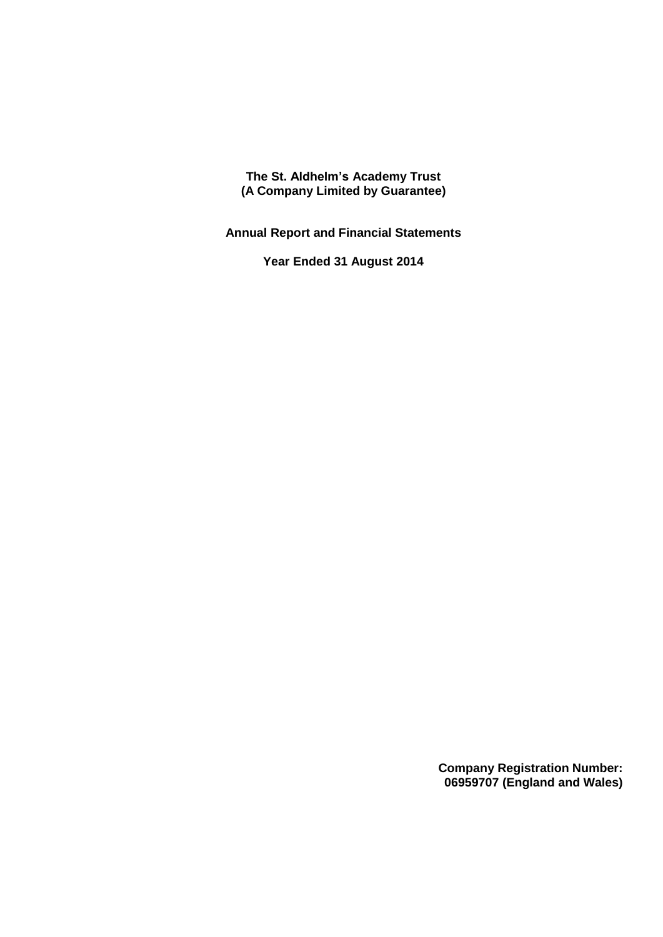**The St. Aldhelm's Academy Trust (A Company Limited by Guarantee)**

**Annual Report and Financial Statements**

**Year Ended 31 August 2014**

**Company Registration Number: 06959707 (England and Wales)**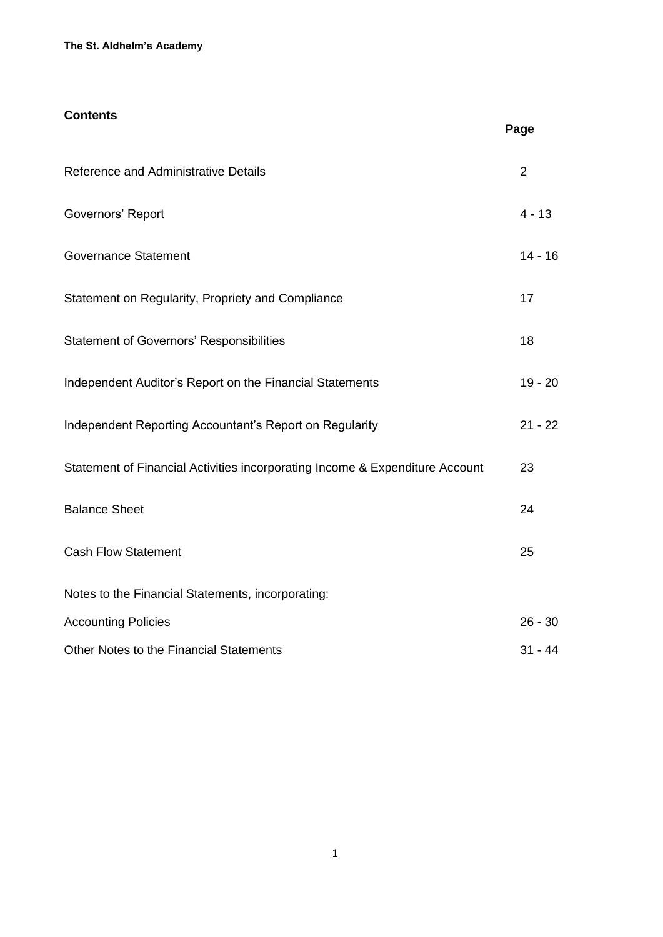#### **The St. Aldhelm's Academy**

## **Contents**

| Reference and Administrative Details                                         | $\overline{2}$ |
|------------------------------------------------------------------------------|----------------|
| Governors' Report                                                            | $4 - 13$       |
| <b>Governance Statement</b>                                                  | $14 - 16$      |
| Statement on Regularity, Propriety and Compliance                            | 17             |
| <b>Statement of Governors' Responsibilities</b>                              | 18             |
| Independent Auditor's Report on the Financial Statements                     | $19 - 20$      |
| Independent Reporting Accountant's Report on Regularity                      | $21 - 22$      |
| Statement of Financial Activities incorporating Income & Expenditure Account | 23             |
| <b>Balance Sheet</b>                                                         | 24             |
| <b>Cash Flow Statement</b>                                                   | 25             |
| Notes to the Financial Statements, incorporating:                            |                |
| <b>Accounting Policies</b>                                                   | $26 - 30$      |
| Other Notes to the Financial Statements                                      | $31 - 44$      |

**Page**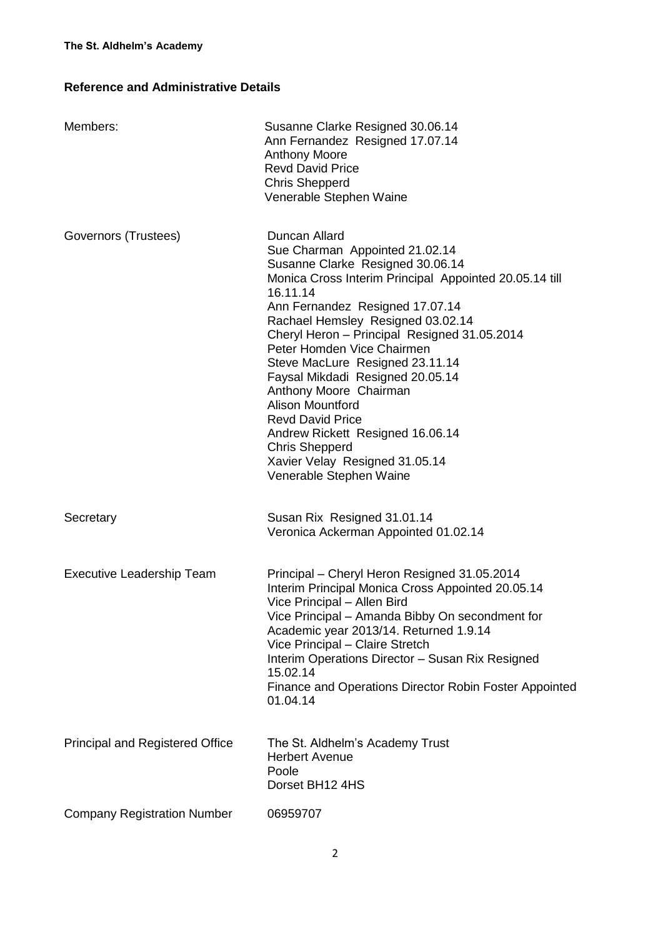## **Reference and Administrative Details**

| Members:                               | Susanne Clarke Resigned 30.06.14<br>Ann Fernandez Resigned 17.07.14<br><b>Anthony Moore</b><br><b>Revd David Price</b><br><b>Chris Shepperd</b><br>Venerable Stephen Waine                                                                                                                                                                                                                                                                                                                                                                                                                       |
|----------------------------------------|--------------------------------------------------------------------------------------------------------------------------------------------------------------------------------------------------------------------------------------------------------------------------------------------------------------------------------------------------------------------------------------------------------------------------------------------------------------------------------------------------------------------------------------------------------------------------------------------------|
| Governors (Trustees)                   | Duncan Allard<br>Sue Charman Appointed 21.02.14<br>Susanne Clarke Resigned 30.06.14<br>Monica Cross Interim Principal Appointed 20.05.14 till<br>16.11.14<br>Ann Fernandez Resigned 17.07.14<br>Rachael Hemsley Resigned 03.02.14<br>Cheryl Heron - Principal Resigned 31.05.2014<br>Peter Homden Vice Chairmen<br>Steve MacLure Resigned 23.11.14<br>Faysal Mikdadi Resigned 20.05.14<br>Anthony Moore Chairman<br><b>Alison Mountford</b><br><b>Revd David Price</b><br>Andrew Rickett Resigned 16.06.14<br><b>Chris Shepperd</b><br>Xavier Velay Resigned 31.05.14<br>Venerable Stephen Waine |
| Secretary                              | Susan Rix Resigned 31.01.14<br>Veronica Ackerman Appointed 01.02.14                                                                                                                                                                                                                                                                                                                                                                                                                                                                                                                              |
| <b>Executive Leadership Team</b>       | Principal - Cheryl Heron Resigned 31.05.2014<br>Interim Principal Monica Cross Appointed 20.05.14<br>Vice Principal - Allen Bird<br>Vice Principal – Amanda Bibby On secondment for<br>Academic year 2013/14. Returned 1.9.14<br>Vice Principal - Claire Stretch<br>Interim Operations Director - Susan Rix Resigned<br>15.02.14<br>Finance and Operations Director Robin Foster Appointed<br>01.04.14                                                                                                                                                                                           |
| <b>Principal and Registered Office</b> | The St. Aldhelm's Academy Trust<br><b>Herbert Avenue</b><br>Poole<br>Dorset BH12 4HS                                                                                                                                                                                                                                                                                                                                                                                                                                                                                                             |
| <b>Company Registration Number</b>     | 06959707                                                                                                                                                                                                                                                                                                                                                                                                                                                                                                                                                                                         |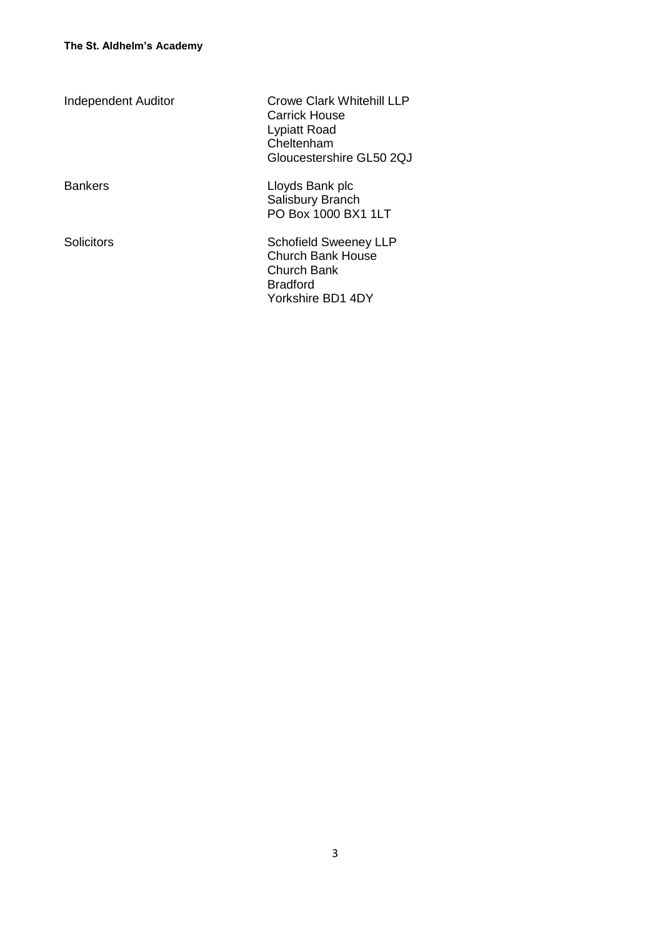| <b>Independent Auditor</b> | Crowe Clark Whitehill LLP<br>Carrick House<br>Lypiatt Road<br>Cheltenham<br>Gloucestershire GL50 20J            |
|----------------------------|-----------------------------------------------------------------------------------------------------------------|
| <b>Bankers</b>             | Lloyds Bank plc<br>Salisbury Branch<br>PO Box 1000 BX1 1LT                                                      |
| <b>Solicitors</b>          | <b>Schofield Sweeney LLP</b><br>Church Bank House<br><b>Church Bank</b><br><b>Bradford</b><br>Yorkshire BD1 4DY |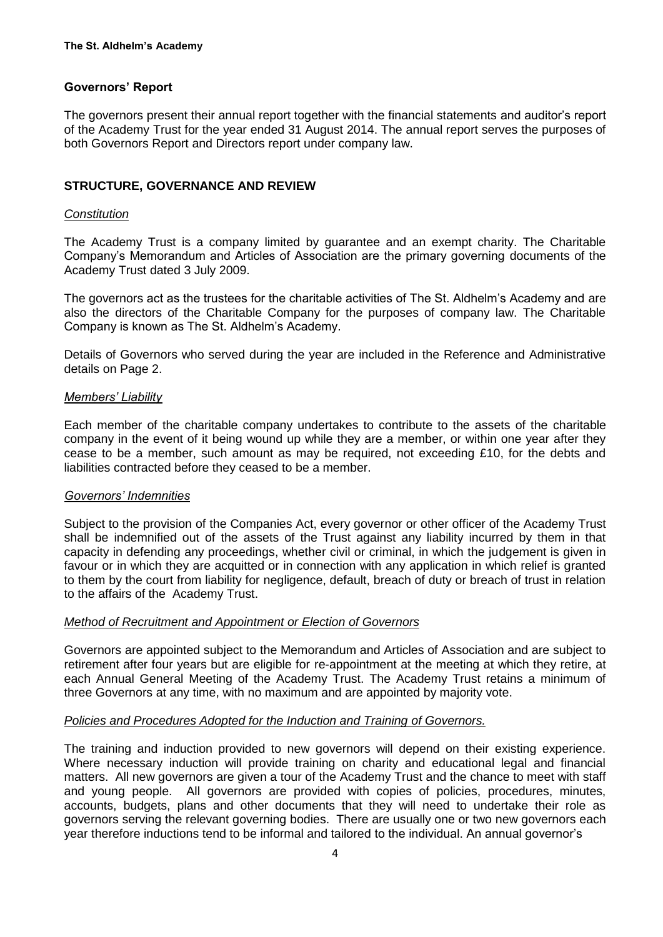## **Governors' Report**

The governors present their annual report together with the financial statements and auditor's report of the Academy Trust for the year ended 31 August 2014. The annual report serves the purposes of both Governors Report and Directors report under company law.

## **STRUCTURE, GOVERNANCE AND REVIEW**

#### *Constitution*

The Academy Trust is a company limited by guarantee and an exempt charity. The Charitable Company's Memorandum and Articles of Association are the primary governing documents of the Academy Trust dated 3 July 2009.

The governors act as the trustees for the charitable activities of The St. Aldhelm's Academy and are also the directors of the Charitable Company for the purposes of company law. The Charitable Company is known as The St. Aldhelm's Academy.

Details of Governors who served during the year are included in the Reference and Administrative details on Page 2.

### *Members' Liability*

Each member of the charitable company undertakes to contribute to the assets of the charitable company in the event of it being wound up while they are a member, or within one year after they cease to be a member, such amount as may be required, not exceeding £10, for the debts and liabilities contracted before they ceased to be a member.

#### *Governors' Indemnities*

Subject to the provision of the Companies Act, every governor or other officer of the Academy Trust shall be indemnified out of the assets of the Trust against any liability incurred by them in that capacity in defending any proceedings, whether civil or criminal, in which the judgement is given in favour or in which they are acquitted or in connection with any application in which relief is granted to them by the court from liability for negligence, default, breach of duty or breach of trust in relation to the affairs of the Academy Trust.

### *Method of Recruitment and Appointment or Election of Governors*

Governors are appointed subject to the Memorandum and Articles of Association and are subject to retirement after four years but are eligible for re-appointment at the meeting at which they retire, at each Annual General Meeting of the Academy Trust. The Academy Trust retains a minimum of three Governors at any time, with no maximum and are appointed by majority vote.

### *Policies and Procedures Adopted for the Induction and Training of Governors.*

The training and induction provided to new governors will depend on their existing experience. Where necessary induction will provide training on charity and educational legal and financial matters. All new governors are given a tour of the Academy Trust and the chance to meet with staff and young people. All governors are provided with copies of policies, procedures, minutes, accounts, budgets, plans and other documents that they will need to undertake their role as governors serving the relevant governing bodies. There are usually one or two new governors each year therefore inductions tend to be informal and tailored to the individual. An annual governor's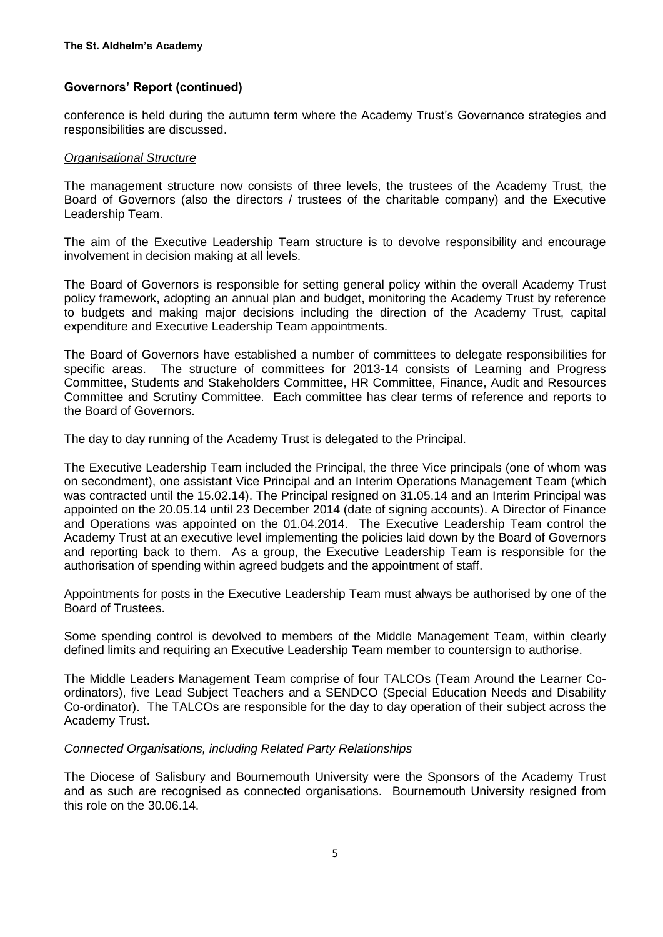conference is held during the autumn term where the Academy Trust's Governance strategies and responsibilities are discussed.

#### *Organisational Structure*

The management structure now consists of three levels, the trustees of the Academy Trust, the Board of Governors (also the directors / trustees of the charitable company) and the Executive Leadership Team.

The aim of the Executive Leadership Team structure is to devolve responsibility and encourage involvement in decision making at all levels.

The Board of Governors is responsible for setting general policy within the overall Academy Trust policy framework, adopting an annual plan and budget, monitoring the Academy Trust by reference to budgets and making major decisions including the direction of the Academy Trust, capital expenditure and Executive Leadership Team appointments.

The Board of Governors have established a number of committees to delegate responsibilities for specific areas. The structure of committees for 2013-14 consists of Learning and Progress Committee, Students and Stakeholders Committee, HR Committee, Finance, Audit and Resources Committee and Scrutiny Committee. Each committee has clear terms of reference and reports to the Board of Governors.

The day to day running of the Academy Trust is delegated to the Principal.

The Executive Leadership Team included the Principal, the three Vice principals (one of whom was on secondment), one assistant Vice Principal and an Interim Operations Management Team (which was contracted until the 15.02.14). The Principal resigned on 31.05.14 and an Interim Principal was appointed on the 20.05.14 until 23 December 2014 (date of signing accounts). A Director of Finance and Operations was appointed on the 01.04.2014. The Executive Leadership Team control the Academy Trust at an executive level implementing the policies laid down by the Board of Governors and reporting back to them. As a group, the Executive Leadership Team is responsible for the authorisation of spending within agreed budgets and the appointment of staff.

Appointments for posts in the Executive Leadership Team must always be authorised by one of the Board of Trustees.

Some spending control is devolved to members of the Middle Management Team, within clearly defined limits and requiring an Executive Leadership Team member to countersign to authorise.

The Middle Leaders Management Team comprise of four TALCOs (Team Around the Learner Coordinators), five Lead Subject Teachers and a SENDCO (Special Education Needs and Disability Co-ordinator). The TALCOs are responsible for the day to day operation of their subject across the Academy Trust.

#### *Connected Organisations, including Related Party Relationships*

The Diocese of Salisbury and Bournemouth University were the Sponsors of the Academy Trust and as such are recognised as connected organisations. Bournemouth University resigned from this role on the 30.06.14.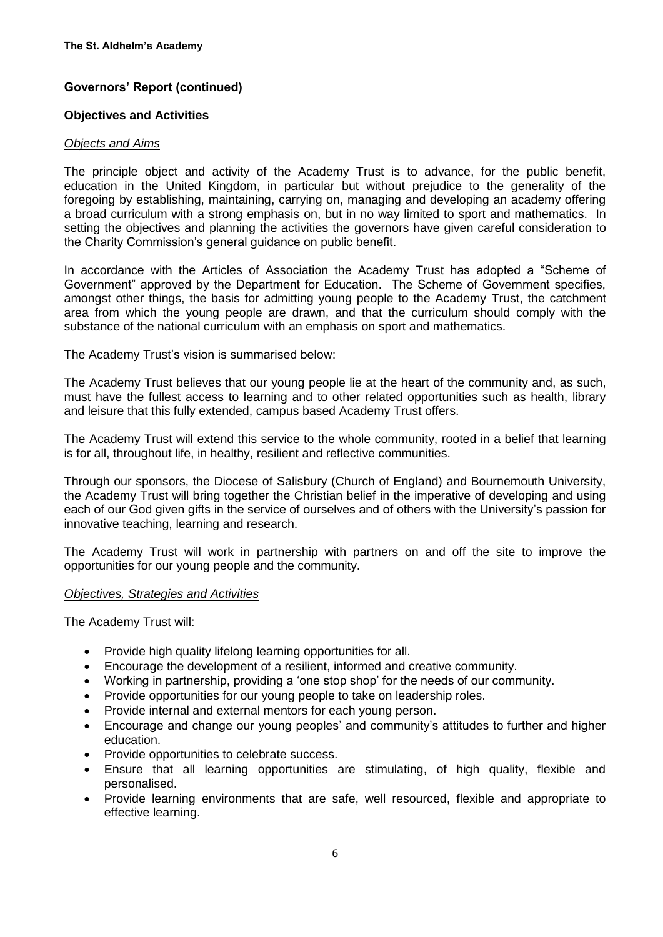#### **Objectives and Activities**

#### *Objects and Aims*

The principle object and activity of the Academy Trust is to advance, for the public benefit, education in the United Kingdom, in particular but without prejudice to the generality of the foregoing by establishing, maintaining, carrying on, managing and developing an academy offering a broad curriculum with a strong emphasis on, but in no way limited to sport and mathematics. In setting the objectives and planning the activities the governors have given careful consideration to the Charity Commission's general guidance on public benefit.

In accordance with the Articles of Association the Academy Trust has adopted a "Scheme of Government" approved by the Department for Education. The Scheme of Government specifies, amongst other things, the basis for admitting young people to the Academy Trust, the catchment area from which the young people are drawn, and that the curriculum should comply with the substance of the national curriculum with an emphasis on sport and mathematics.

The Academy Trust's vision is summarised below:

The Academy Trust believes that our young people lie at the heart of the community and, as such, must have the fullest access to learning and to other related opportunities such as health, library and leisure that this fully extended, campus based Academy Trust offers.

The Academy Trust will extend this service to the whole community, rooted in a belief that learning is for all, throughout life, in healthy, resilient and reflective communities.

Through our sponsors, the Diocese of Salisbury (Church of England) and Bournemouth University, the Academy Trust will bring together the Christian belief in the imperative of developing and using each of our God given gifts in the service of ourselves and of others with the University's passion for innovative teaching, learning and research.

The Academy Trust will work in partnership with partners on and off the site to improve the opportunities for our young people and the community.

#### *Objectives, Strategies and Activities*

The Academy Trust will:

- Provide high quality lifelong learning opportunities for all.
- Encourage the development of a resilient, informed and creative community.
- Working in partnership, providing a 'one stop shop' for the needs of our community.
- Provide opportunities for our young people to take on leadership roles.
- Provide internal and external mentors for each young person.
- Encourage and change our young peoples' and community's attitudes to further and higher education.
- Provide opportunities to celebrate success.
- Ensure that all learning opportunities are stimulating, of high quality, flexible and personalised.
- Provide learning environments that are safe, well resourced, flexible and appropriate to effective learning.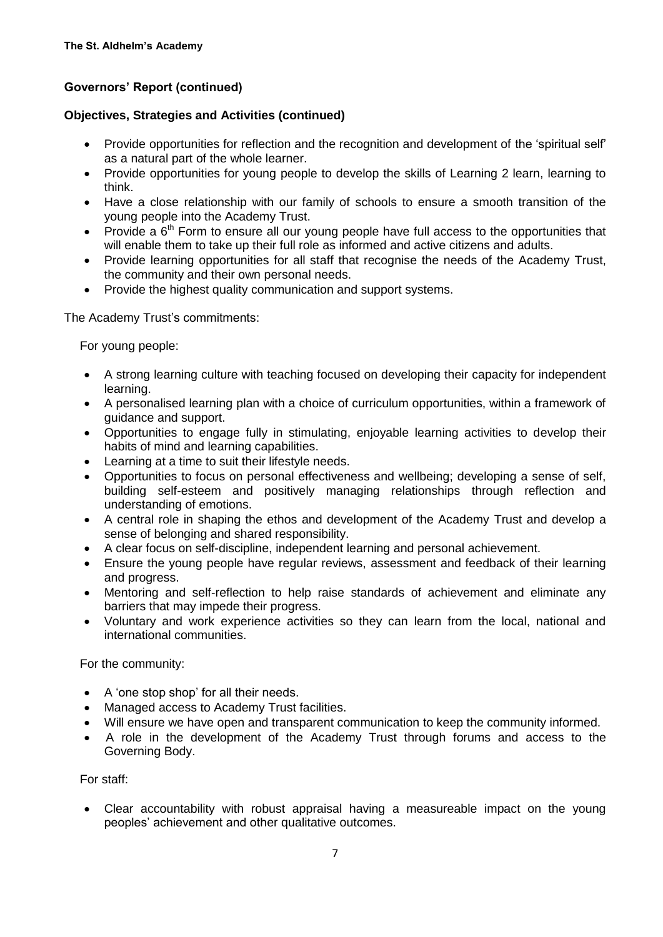## **Objectives, Strategies and Activities (continued)**

- Provide opportunities for reflection and the recognition and development of the 'spiritual self' as a natural part of the whole learner.
- Provide opportunities for young people to develop the skills of Learning 2 learn, learning to think.
- Have a close relationship with our family of schools to ensure a smooth transition of the young people into the Academy Trust.
- Provide a  $6<sup>th</sup>$  Form to ensure all our voung people have full access to the opportunities that will enable them to take up their full role as informed and active citizens and adults.
- Provide learning opportunities for all staff that recognise the needs of the Academy Trust, the community and their own personal needs.
- Provide the highest quality communication and support systems.

The Academy Trust's commitments:

For young people:

- A strong learning culture with teaching focused on developing their capacity for independent learning.
- A personalised learning plan with a choice of curriculum opportunities, within a framework of guidance and support.
- Opportunities to engage fully in stimulating, enjoyable learning activities to develop their habits of mind and learning capabilities.
- Learning at a time to suit their lifestyle needs.
- Opportunities to focus on personal effectiveness and wellbeing; developing a sense of self, building self-esteem and positively managing relationships through reflection and understanding of emotions.
- A central role in shaping the ethos and development of the Academy Trust and develop a sense of belonging and shared responsibility.
- A clear focus on self-discipline, independent learning and personal achievement.
- Ensure the young people have regular reviews, assessment and feedback of their learning and progress.
- Mentoring and self-reflection to help raise standards of achievement and eliminate any barriers that may impede their progress.
- Voluntary and work experience activities so they can learn from the local, national and international communities.

For the community:

- A 'one stop shop' for all their needs.
- Managed access to Academy Trust facilities.
- Will ensure we have open and transparent communication to keep the community informed.
- A role in the development of the Academy Trust through forums and access to the Governing Body.

For staff:

 Clear accountability with robust appraisal having a measureable impact on the young peoples' achievement and other qualitative outcomes.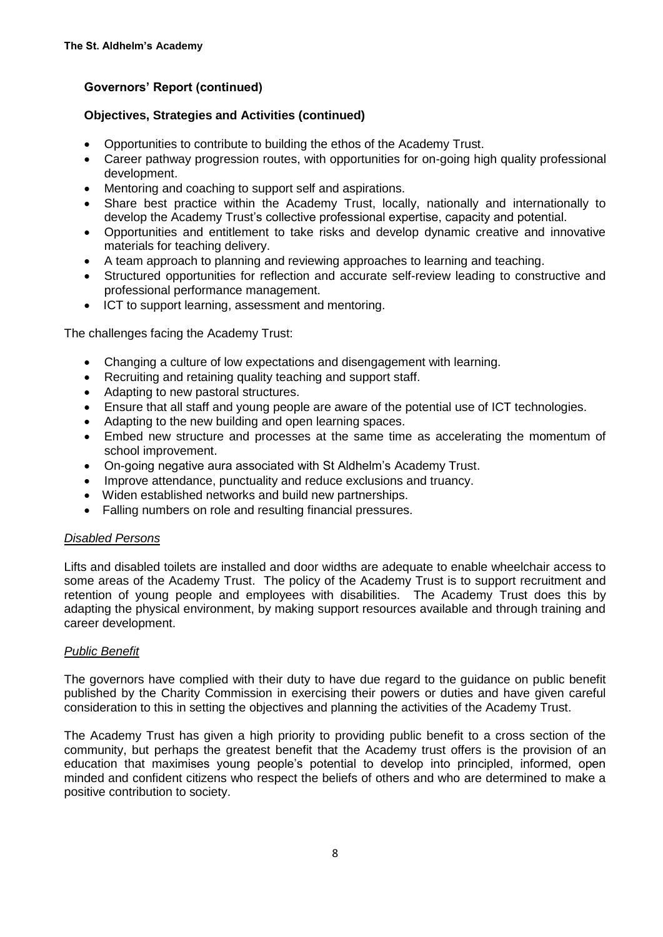## **Objectives, Strategies and Activities (continued)**

- Opportunities to contribute to building the ethos of the Academy Trust.
- Career pathway progression routes, with opportunities for on-going high quality professional development.
- Mentoring and coaching to support self and aspirations.
- Share best practice within the Academy Trust, locally, nationally and internationally to develop the Academy Trust's collective professional expertise, capacity and potential.
- Opportunities and entitlement to take risks and develop dynamic creative and innovative materials for teaching delivery.
- A team approach to planning and reviewing approaches to learning and teaching.
- Structured opportunities for reflection and accurate self-review leading to constructive and professional performance management.
- ICT to support learning, assessment and mentoring.

The challenges facing the Academy Trust:

- Changing a culture of low expectations and disengagement with learning.
- Recruiting and retaining quality teaching and support staff.
- Adapting to new pastoral structures.
- Ensure that all staff and young people are aware of the potential use of ICT technologies.
- Adapting to the new building and open learning spaces.
- Embed new structure and processes at the same time as accelerating the momentum of school improvement.
- On-going negative aura associated with St Aldhelm's Academy Trust.
- Improve attendance, punctuality and reduce exclusions and truancy.
- Widen established networks and build new partnerships.
- Falling numbers on role and resulting financial pressures.

### *Disabled Persons*

Lifts and disabled toilets are installed and door widths are adequate to enable wheelchair access to some areas of the Academy Trust. The policy of the Academy Trust is to support recruitment and retention of young people and employees with disabilities. The Academy Trust does this by adapting the physical environment, by making support resources available and through training and career development.

### *Public Benefit*

The governors have complied with their duty to have due regard to the guidance on public benefit published by the Charity Commission in exercising their powers or duties and have given careful consideration to this in setting the objectives and planning the activities of the Academy Trust.

The Academy Trust has given a high priority to providing public benefit to a cross section of the community, but perhaps the greatest benefit that the Academy trust offers is the provision of an education that maximises young people's potential to develop into principled, informed, open minded and confident citizens who respect the beliefs of others and who are determined to make a positive contribution to society.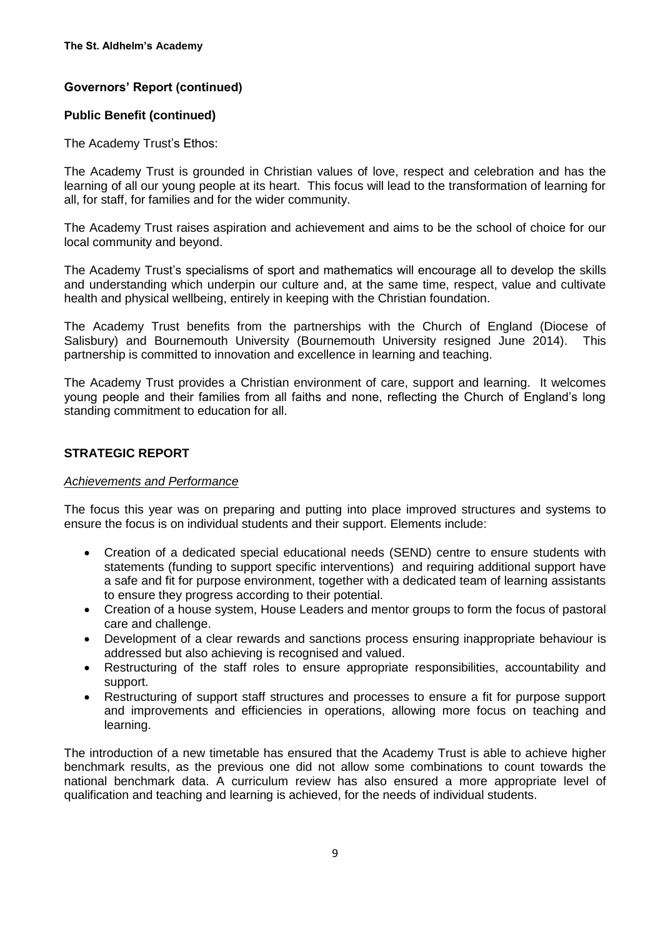## **Public Benefit (continued)**

The Academy Trust's Ethos:

The Academy Trust is grounded in Christian values of love, respect and celebration and has the learning of all our young people at its heart. This focus will lead to the transformation of learning for all, for staff, for families and for the wider community.

The Academy Trust raises aspiration and achievement and aims to be the school of choice for our local community and beyond.

The Academy Trust's specialisms of sport and mathematics will encourage all to develop the skills and understanding which underpin our culture and, at the same time, respect, value and cultivate health and physical wellbeing, entirely in keeping with the Christian foundation.

The Academy Trust benefits from the partnerships with the Church of England (Diocese of Salisbury) and Bournemouth University (Bournemouth University resigned June 2014). This partnership is committed to innovation and excellence in learning and teaching.

The Academy Trust provides a Christian environment of care, support and learning. It welcomes young people and their families from all faiths and none, reflecting the Church of England's long standing commitment to education for all.

## **STRATEGIC REPORT**

### *Achievements and Performance*

The focus this year was on preparing and putting into place improved structures and systems to ensure the focus is on individual students and their support. Elements include:

- Creation of a dedicated special educational needs (SEND) centre to ensure students with statements (funding to support specific interventions) and requiring additional support have a safe and fit for purpose environment, together with a dedicated team of learning assistants to ensure they progress according to their potential.
- Creation of a house system, House Leaders and mentor groups to form the focus of pastoral care and challenge.
- Development of a clear rewards and sanctions process ensuring inappropriate behaviour is addressed but also achieving is recognised and valued.
- Restructuring of the staff roles to ensure appropriate responsibilities, accountability and support.
- Restructuring of support staff structures and processes to ensure a fit for purpose support and improvements and efficiencies in operations, allowing more focus on teaching and learning.

The introduction of a new timetable has ensured that the Academy Trust is able to achieve higher benchmark results, as the previous one did not allow some combinations to count towards the national benchmark data. A curriculum review has also ensured a more appropriate level of qualification and teaching and learning is achieved, for the needs of individual students.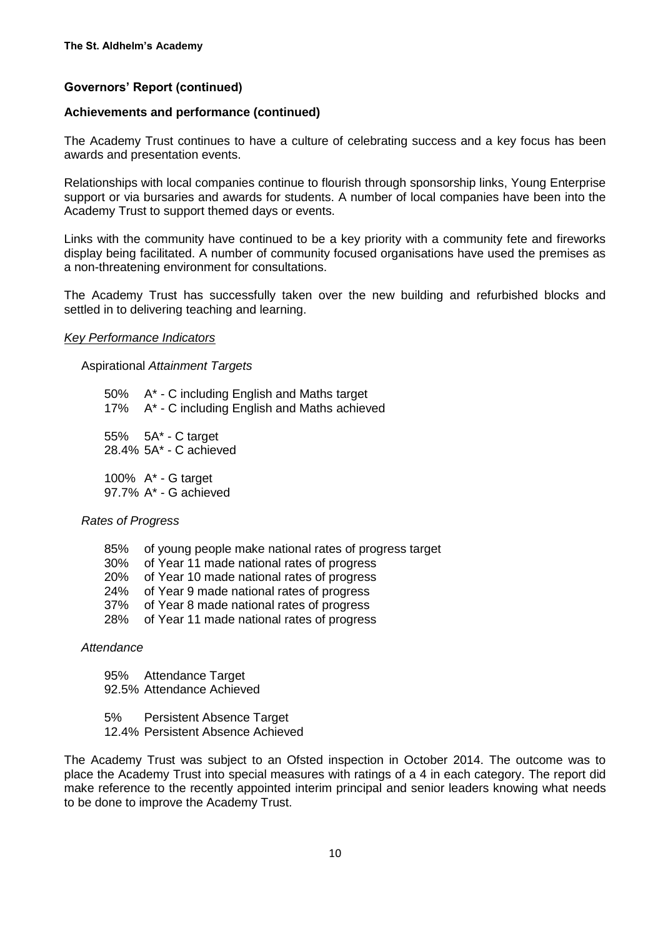#### **Achievements and performance (continued)**

The Academy Trust continues to have a culture of celebrating success and a key focus has been awards and presentation events.

Relationships with local companies continue to flourish through sponsorship links, Young Enterprise support or via bursaries and awards for students. A number of local companies have been into the Academy Trust to support themed days or events.

Links with the community have continued to be a key priority with a community fete and fireworks display being facilitated. A number of community focused organisations have used the premises as a non-threatening environment for consultations.

The Academy Trust has successfully taken over the new building and refurbished blocks and settled in to delivering teaching and learning.

#### *Key Performance Indicators*

Aspirational *Attainment Targets*

50% A\* - C including English and Maths target 17% A\* - C including English and Maths achieved 55% 5A\* - C target 28.4% 5A\* - C achieved 100% A\* - G target 97.7% A\* - G achieved

#### *Rates of Progress*

- 85% of young people make national rates of progress target
- 30% of Year 11 made national rates of progress
- 20% of Year 10 made national rates of progress
- 24% of Year 9 made national rates of progress
- 37% of Year 8 made national rates of progress<br>28% of Year 11 made national rates of progress
- of Year 11 made national rates of progress

*Attendance*

95% Attendance Target 92.5% Attendance Achieved

- 5% Persistent Absence Target
- 12.4% Persistent Absence Achieved

The Academy Trust was subject to an Ofsted inspection in October 2014. The outcome was to place the Academy Trust into special measures with ratings of a 4 in each category. The report did make reference to the recently appointed interim principal and senior leaders knowing what needs to be done to improve the Academy Trust.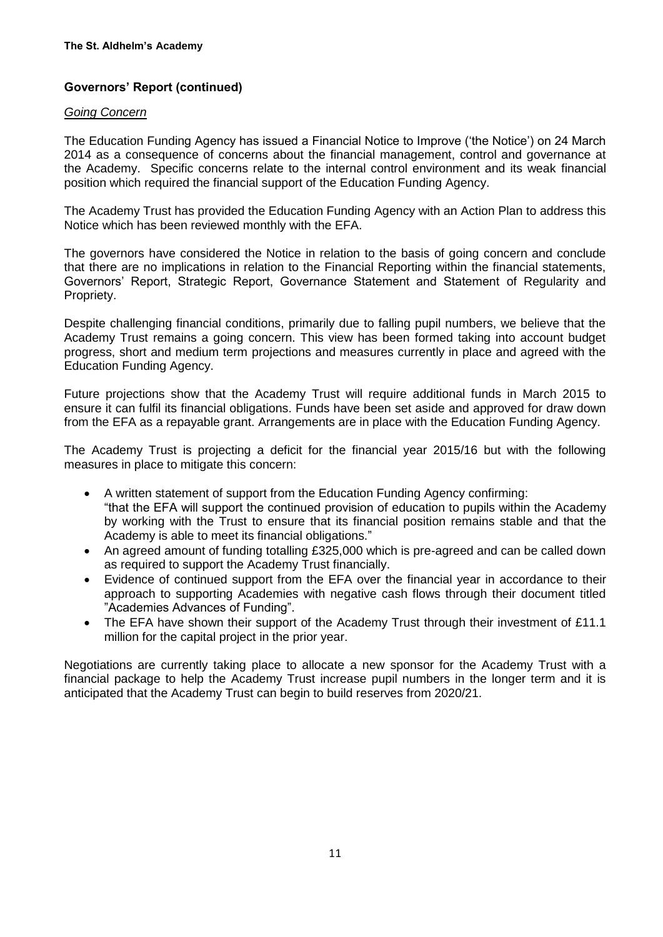#### *Going Concern*

The Education Funding Agency has issued a Financial Notice to Improve ('the Notice') on 24 March 2014 as a consequence of concerns about the financial management, control and governance at the Academy. Specific concerns relate to the internal control environment and its weak financial position which required the financial support of the Education Funding Agency.

The Academy Trust has provided the Education Funding Agency with an Action Plan to address this Notice which has been reviewed monthly with the EFA.

The governors have considered the Notice in relation to the basis of going concern and conclude that there are no implications in relation to the Financial Reporting within the financial statements, Governors' Report, Strategic Report, Governance Statement and Statement of Regularity and Propriety.

Despite challenging financial conditions, primarily due to falling pupil numbers, we believe that the Academy Trust remains a going concern. This view has been formed taking into account budget progress, short and medium term projections and measures currently in place and agreed with the Education Funding Agency.

Future projections show that the Academy Trust will require additional funds in March 2015 to ensure it can fulfil its financial obligations. Funds have been set aside and approved for draw down from the EFA as a repayable grant. Arrangements are in place with the Education Funding Agency.

The Academy Trust is projecting a deficit for the financial year 2015/16 but with the following measures in place to mitigate this concern:

- A written statement of support from the Education Funding Agency confirming: "that the EFA will support the continued provision of education to pupils within the Academy by working with the Trust to ensure that its financial position remains stable and that the Academy is able to meet its financial obligations."
- An agreed amount of funding totalling £325,000 which is pre-agreed and can be called down as required to support the Academy Trust financially.
- Evidence of continued support from the EFA over the financial year in accordance to their approach to supporting Academies with negative cash flows through their document titled "Academies Advances of Funding".
- The EFA have shown their support of the Academy Trust through their investment of £11.1 million for the capital project in the prior year.

Negotiations are currently taking place to allocate a new sponsor for the Academy Trust with a financial package to help the Academy Trust increase pupil numbers in the longer term and it is anticipated that the Academy Trust can begin to build reserves from 2020/21.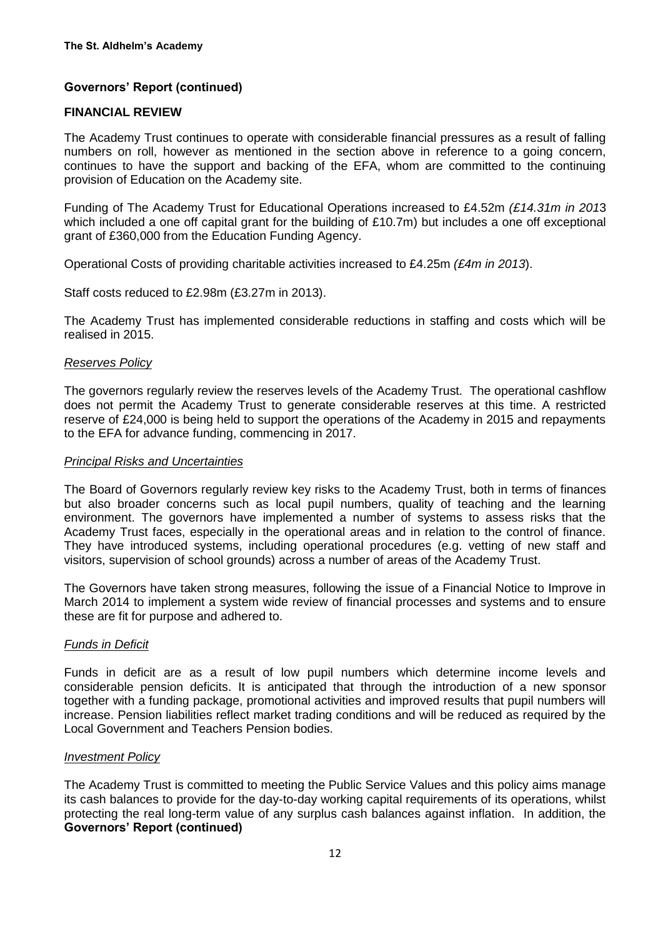## **FINANCIAL REVIEW**

The Academy Trust continues to operate with considerable financial pressures as a result of falling numbers on roll, however as mentioned in the section above in reference to a going concern, continues to have the support and backing of the EFA, whom are committed to the continuing provision of Education on the Academy site.

Funding of The Academy Trust for Educational Operations increased to £4.52m *(£14.31m in 201*3 which included a one off capital grant for the building of £10.7m) but includes a one off exceptional grant of £360,000 from the Education Funding Agency.

Operational Costs of providing charitable activities increased to £4.25m *(£4m in 2013*).

Staff costs reduced to £2.98m (£3.27m in 2013).

The Academy Trust has implemented considerable reductions in staffing and costs which will be realised in 2015.

#### *Reserves Policy*

The governors regularly review the reserves levels of the Academy Trust. The operational cashflow does not permit the Academy Trust to generate considerable reserves at this time. A restricted reserve of £24,000 is being held to support the operations of the Academy in 2015 and repayments to the EFA for advance funding, commencing in 2017.

#### *Principal Risks and Uncertainties*

The Board of Governors regularly review key risks to the Academy Trust, both in terms of finances but also broader concerns such as local pupil numbers, quality of teaching and the learning environment. The governors have implemented a number of systems to assess risks that the Academy Trust faces, especially in the operational areas and in relation to the control of finance. They have introduced systems, including operational procedures (e.g. vetting of new staff and visitors, supervision of school grounds) across a number of areas of the Academy Trust.

The Governors have taken strong measures, following the issue of a Financial Notice to Improve in March 2014 to implement a system wide review of financial processes and systems and to ensure these are fit for purpose and adhered to.

### *Funds in Deficit*

Funds in deficit are as a result of low pupil numbers which determine income levels and considerable pension deficits. It is anticipated that through the introduction of a new sponsor together with a funding package, promotional activities and improved results that pupil numbers will increase. Pension liabilities reflect market trading conditions and will be reduced as required by the Local Government and Teachers Pension bodies.

### *Investment Policy*

The Academy Trust is committed to meeting the Public Service Values and this policy aims manage its cash balances to provide for the day-to-day working capital requirements of its operations, whilst protecting the real long-term value of any surplus cash balances against inflation. In addition, the **Governors' Report (continued)**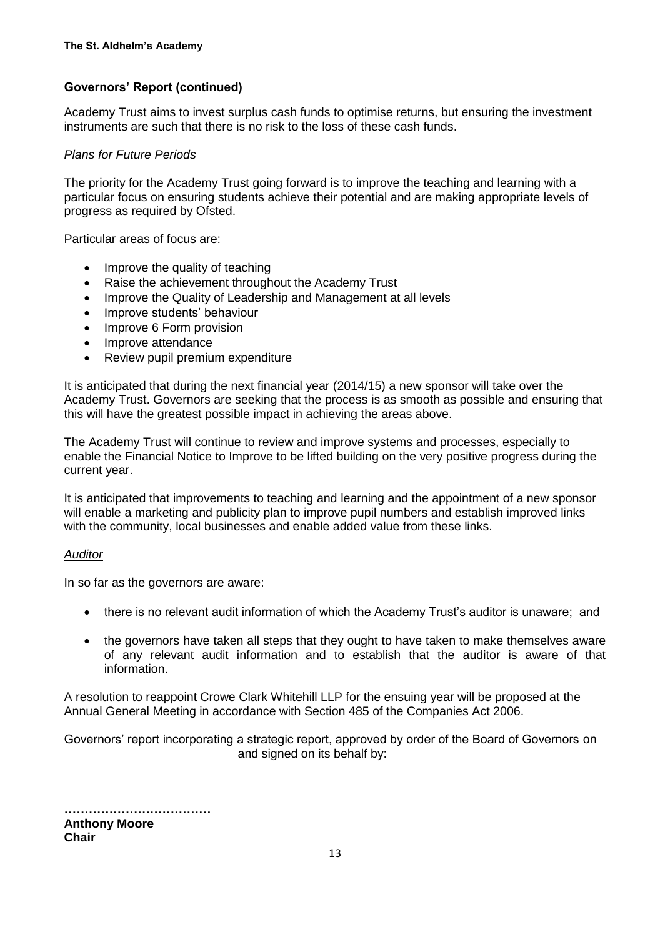Academy Trust aims to invest surplus cash funds to optimise returns, but ensuring the investment instruments are such that there is no risk to the loss of these cash funds.

#### *Plans for Future Periods*

The priority for the Academy Trust going forward is to improve the teaching and learning with a particular focus on ensuring students achieve their potential and are making appropriate levels of progress as required by Ofsted.

Particular areas of focus are:

- Improve the quality of teaching
- Raise the achievement throughout the Academy Trust
- Improve the Quality of Leadership and Management at all levels
- Improve students' behaviour
- Improve 6 Form provision
- Improve attendance
- Review pupil premium expenditure

It is anticipated that during the next financial year (2014/15) a new sponsor will take over the Academy Trust. Governors are seeking that the process is as smooth as possible and ensuring that this will have the greatest possible impact in achieving the areas above.

The Academy Trust will continue to review and improve systems and processes, especially to enable the Financial Notice to Improve to be lifted building on the very positive progress during the current year.

It is anticipated that improvements to teaching and learning and the appointment of a new sponsor will enable a marketing and publicity plan to improve pupil numbers and establish improved links with the community, local businesses and enable added value from these links.

#### *Auditor*

In so far as the governors are aware:

- there is no relevant audit information of which the Academy Trust's auditor is unaware; and
- the governors have taken all steps that they ought to have taken to make themselves aware of any relevant audit information and to establish that the auditor is aware of that information.

A resolution to reappoint Crowe Clark Whitehill LLP for the ensuing year will be proposed at the Annual General Meeting in accordance with Section 485 of the Companies Act 2006.

Governors' report incorporating a strategic report, approved by order of the Board of Governors on and signed on its behalf by:

**………………………………**

**Anthony Moore Chair**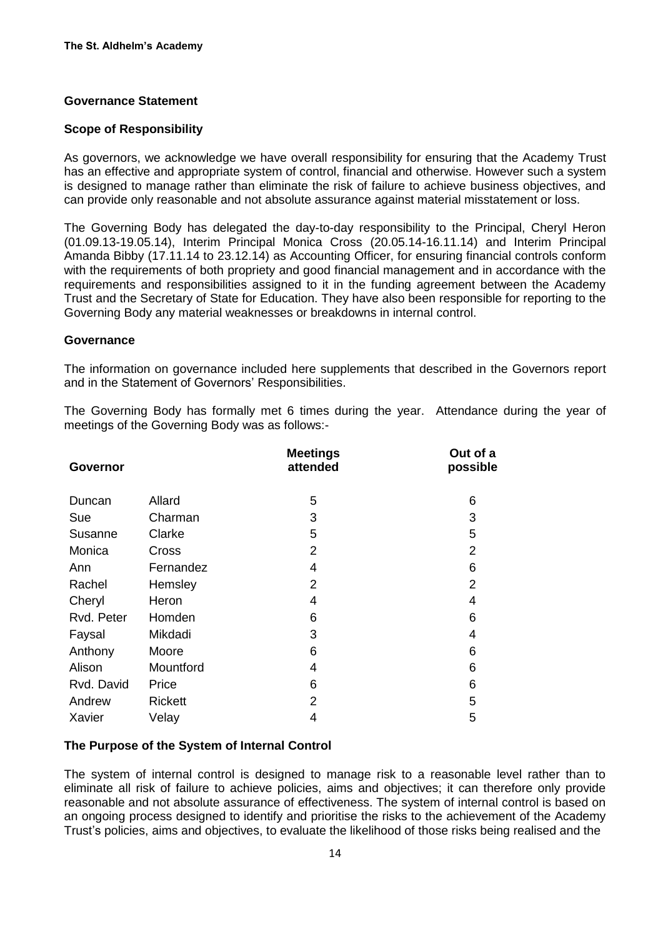#### **Governance Statement**

#### **Scope of Responsibility**

As governors, we acknowledge we have overall responsibility for ensuring that the Academy Trust has an effective and appropriate system of control, financial and otherwise. However such a system is designed to manage rather than eliminate the risk of failure to achieve business objectives, and can provide only reasonable and not absolute assurance against material misstatement or loss.

The Governing Body has delegated the day-to-day responsibility to the Principal, Cheryl Heron (01.09.13-19.05.14), Interim Principal Monica Cross (20.05.14-16.11.14) and Interim Principal Amanda Bibby (17.11.14 to 23.12.14) as Accounting Officer, for ensuring financial controls conform with the requirements of both propriety and good financial management and in accordance with the requirements and responsibilities assigned to it in the funding agreement between the Academy Trust and the Secretary of State for Education. They have also been responsible for reporting to the Governing Body any material weaknesses or breakdowns in internal control.

#### **Governance**

The information on governance included here supplements that described in the Governors report and in the Statement of Governors' Responsibilities.

The Governing Body has formally met 6 times during the year. Attendance during the year of meetings of the Governing Body was as follows:-

| Governor   |                | <b>Meetings</b><br>attended | Out of a<br>possible |
|------------|----------------|-----------------------------|----------------------|
| Duncan     | Allard         | 5                           | 6                    |
| Sue        | Charman        | 3                           | 3                    |
| Susanne    | Clarke         | 5                           | 5                    |
| Monica     | Cross          | $\overline{2}$              | $\overline{2}$       |
| Ann        | Fernandez      | $\overline{4}$              | 6                    |
| Rachel     | Hemsley        | 2                           | $\overline{2}$       |
| Cheryl     | Heron          | 4                           | 4                    |
| Rvd. Peter | Homden         | 6                           | 6                    |
| Faysal     | Mikdadi        | 3                           | 4                    |
| Anthony    | Moore          | 6                           | 6                    |
| Alison     | Mountford      | 4                           | 6                    |
| Rvd. David | Price          | 6                           | 6                    |
| Andrew     | <b>Rickett</b> | 2                           | 5                    |
| Xavier     | Velay          | 4                           | 5                    |

#### **The Purpose of the System of Internal Control**

The system of internal control is designed to manage risk to a reasonable level rather than to eliminate all risk of failure to achieve policies, aims and objectives; it can therefore only provide reasonable and not absolute assurance of effectiveness. The system of internal control is based on an ongoing process designed to identify and prioritise the risks to the achievement of the Academy Trust's policies, aims and objectives, to evaluate the likelihood of those risks being realised and the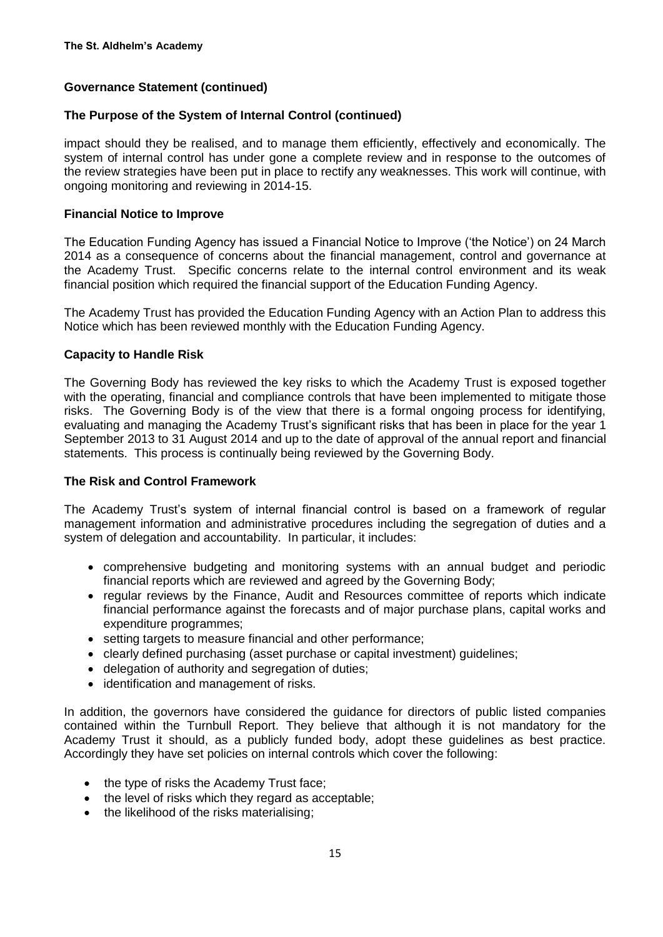## **Governance Statement (continued)**

### **The Purpose of the System of Internal Control (continued)**

impact should they be realised, and to manage them efficiently, effectively and economically. The system of internal control has under gone a complete review and in response to the outcomes of the review strategies have been put in place to rectify any weaknesses. This work will continue, with ongoing monitoring and reviewing in 2014-15.

### **Financial Notice to Improve**

The Education Funding Agency has issued a Financial Notice to Improve ('the Notice') on 24 March 2014 as a consequence of concerns about the financial management, control and governance at the Academy Trust. Specific concerns relate to the internal control environment and its weak financial position which required the financial support of the Education Funding Agency.

The Academy Trust has provided the Education Funding Agency with an Action Plan to address this Notice which has been reviewed monthly with the Education Funding Agency.

#### **Capacity to Handle Risk**

The Governing Body has reviewed the key risks to which the Academy Trust is exposed together with the operating, financial and compliance controls that have been implemented to mitigate those risks. The Governing Body is of the view that there is a formal ongoing process for identifying, evaluating and managing the Academy Trust's significant risks that has been in place for the year 1 September 2013 to 31 August 2014 and up to the date of approval of the annual report and financial statements. This process is continually being reviewed by the Governing Body.

### **The Risk and Control Framework**

The Academy Trust's system of internal financial control is based on a framework of regular management information and administrative procedures including the segregation of duties and a system of delegation and accountability. In particular, it includes:

- comprehensive budgeting and monitoring systems with an annual budget and periodic financial reports which are reviewed and agreed by the Governing Body;
- regular reviews by the Finance, Audit and Resources committee of reports which indicate financial performance against the forecasts and of major purchase plans, capital works and expenditure programmes;
- setting targets to measure financial and other performance;
- clearly defined purchasing (asset purchase or capital investment) guidelines;
- delegation of authority and segregation of duties:
- identification and management of risks.

In addition, the governors have considered the guidance for directors of public listed companies contained within the Turnbull Report. They believe that although it is not mandatory for the Academy Trust it should, as a publicly funded body, adopt these guidelines as best practice. Accordingly they have set policies on internal controls which cover the following:

- the type of risks the Academy Trust face;
- the level of risks which they regard as acceptable:
- the likelihood of the risks materialising: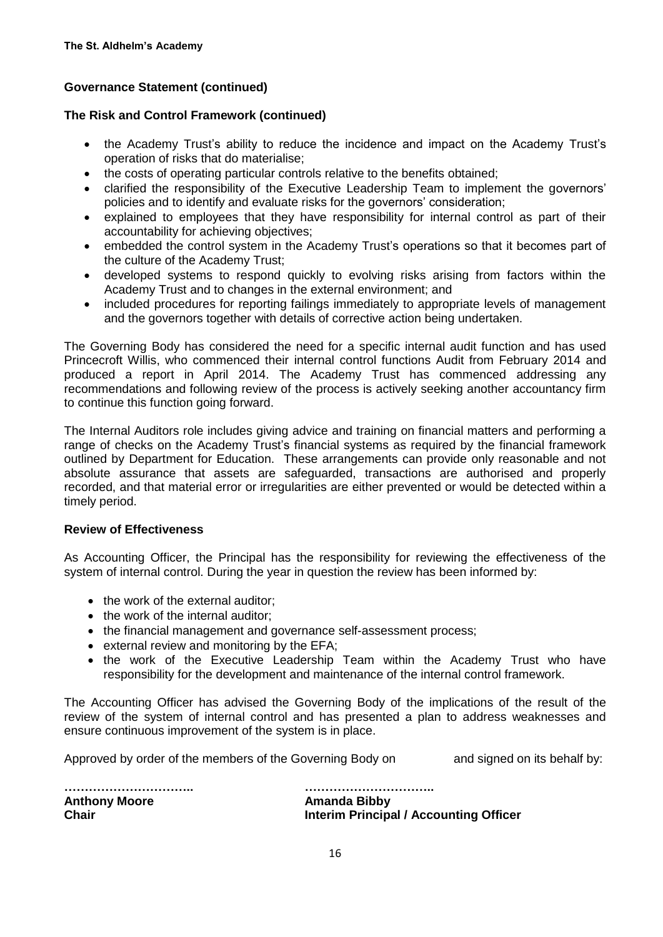## **Governance Statement (continued)**

### **The Risk and Control Framework (continued)**

- the Academy Trust's ability to reduce the incidence and impact on the Academy Trust's operation of risks that do materialise;
- the costs of operating particular controls relative to the benefits obtained;
- clarified the responsibility of the Executive Leadership Team to implement the governors' policies and to identify and evaluate risks for the governors' consideration;
- explained to employees that they have responsibility for internal control as part of their accountability for achieving objectives;
- embedded the control system in the Academy Trust's operations so that it becomes part of the culture of the Academy Trust;
- developed systems to respond quickly to evolving risks arising from factors within the Academy Trust and to changes in the external environment; and
- included procedures for reporting failings immediately to appropriate levels of management and the governors together with details of corrective action being undertaken.

The Governing Body has considered the need for a specific internal audit function and has used Princecroft Willis, who commenced their internal control functions Audit from February 2014 and produced a report in April 2014. The Academy Trust has commenced addressing any recommendations and following review of the process is actively seeking another accountancy firm to continue this function going forward.

The Internal Auditors role includes giving advice and training on financial matters and performing a range of checks on the Academy Trust's financial systems as required by the financial framework outlined by Department for Education. These arrangements can provide only reasonable and not absolute assurance that assets are safeguarded, transactions are authorised and properly recorded, and that material error or irregularities are either prevented or would be detected within a timely period.

### **Review of Effectiveness**

As Accounting Officer, the Principal has the responsibility for reviewing the effectiveness of the system of internal control. During the year in question the review has been informed by:

- the work of the external auditor;
- the work of the internal auditor:
- the financial management and governance self-assessment process;
- external review and monitoring by the EFA;
- the work of the Executive Leadership Team within the Academy Trust who have responsibility for the development and maintenance of the internal control framework.

The Accounting Officer has advised the Governing Body of the implications of the result of the review of the system of internal control and has presented a plan to address weaknesses and ensure continuous improvement of the system is in place.

Approved by order of the members of the Governing Body on and signed on its behalf by:

**Anthony Moore Amanda Bibby**

**………………………….. ………………………….. Chair Interim Principal / Accounting Officer**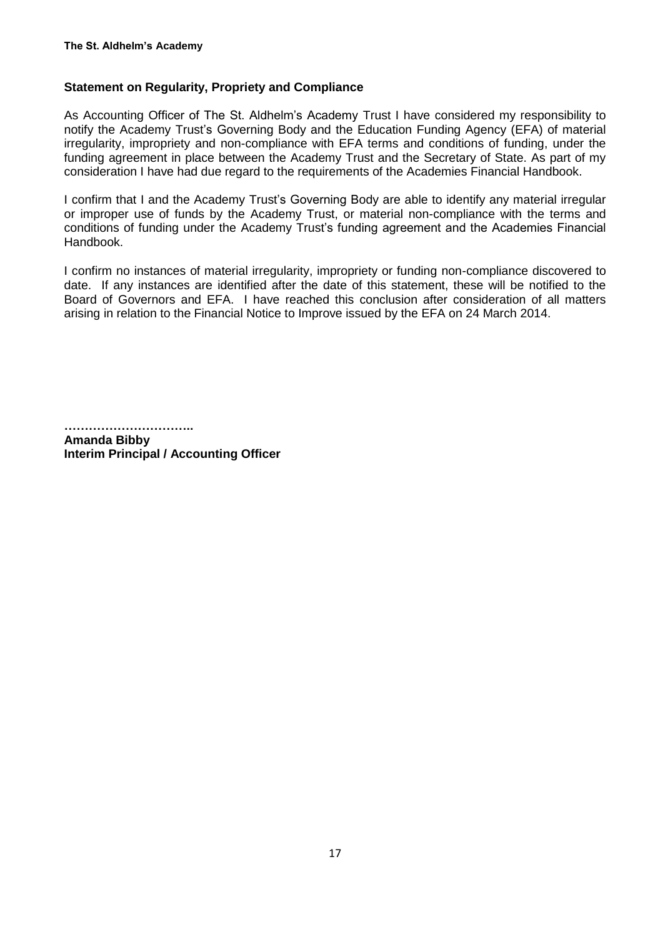## **Statement on Regularity, Propriety and Compliance**

As Accounting Officer of The St. Aldhelm's Academy Trust I have considered my responsibility to notify the Academy Trust's Governing Body and the Education Funding Agency (EFA) of material irregularity, impropriety and non-compliance with EFA terms and conditions of funding, under the funding agreement in place between the Academy Trust and the Secretary of State. As part of my consideration I have had due regard to the requirements of the Academies Financial Handbook.

I confirm that I and the Academy Trust's Governing Body are able to identify any material irregular or improper use of funds by the Academy Trust, or material non-compliance with the terms and conditions of funding under the Academy Trust's funding agreement and the Academies Financial Handbook.

I confirm no instances of material irregularity, impropriety or funding non-compliance discovered to date. If any instances are identified after the date of this statement, these will be notified to the Board of Governors and EFA. I have reached this conclusion after consideration of all matters arising in relation to the Financial Notice to Improve issued by the EFA on 24 March 2014.

**…………………………..**

**Amanda Bibby Interim Principal / Accounting Officer**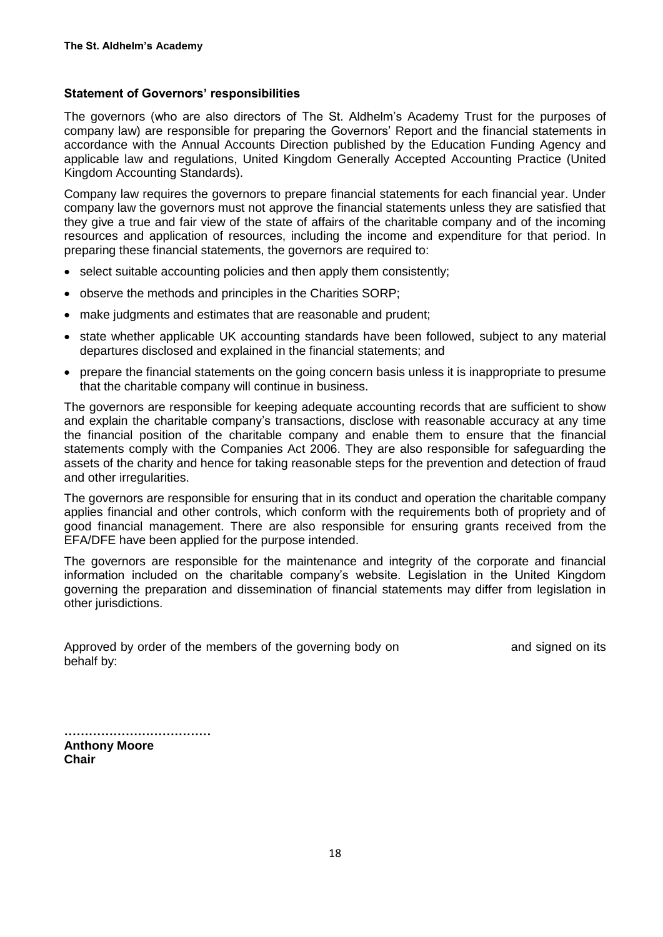#### **Statement of Governors' responsibilities**

The governors (who are also directors of The St. Aldhelm's Academy Trust for the purposes of company law) are responsible for preparing the Governors' Report and the financial statements in accordance with the Annual Accounts Direction published by the Education Funding Agency and applicable law and regulations, United Kingdom Generally Accepted Accounting Practice (United Kingdom Accounting Standards).

Company law requires the governors to prepare financial statements for each financial year. Under company law the governors must not approve the financial statements unless they are satisfied that they give a true and fair view of the state of affairs of the charitable company and of the incoming resources and application of resources, including the income and expenditure for that period. In preparing these financial statements, the governors are required to:

- select suitable accounting policies and then apply them consistently;
- observe the methods and principles in the Charities SORP;
- make judgments and estimates that are reasonable and prudent;
- state whether applicable UK accounting standards have been followed, subject to any material departures disclosed and explained in the financial statements; and
- prepare the financial statements on the going concern basis unless it is inappropriate to presume that the charitable company will continue in business.

The governors are responsible for keeping adequate accounting records that are sufficient to show and explain the charitable company's transactions, disclose with reasonable accuracy at any time the financial position of the charitable company and enable them to ensure that the financial statements comply with the Companies Act 2006. They are also responsible for safeguarding the assets of the charity and hence for taking reasonable steps for the prevention and detection of fraud and other irregularities.

The governors are responsible for ensuring that in its conduct and operation the charitable company applies financial and other controls, which conform with the requirements both of propriety and of good financial management. There are also responsible for ensuring grants received from the EFA/DFE have been applied for the purpose intended.

The governors are responsible for the maintenance and integrity of the corporate and financial information included on the charitable company's website. Legislation in the United Kingdom governing the preparation and dissemination of financial statements may differ from legislation in other jurisdictions.

|            |  | Approved by order of the members of the governing body on |  |  |  |
|------------|--|-----------------------------------------------------------|--|--|--|
| behalf by: |  |                                                           |  |  |  |

and signed on its

| <b>Anthony Moore</b> |  |
|----------------------|--|
| Chair                |  |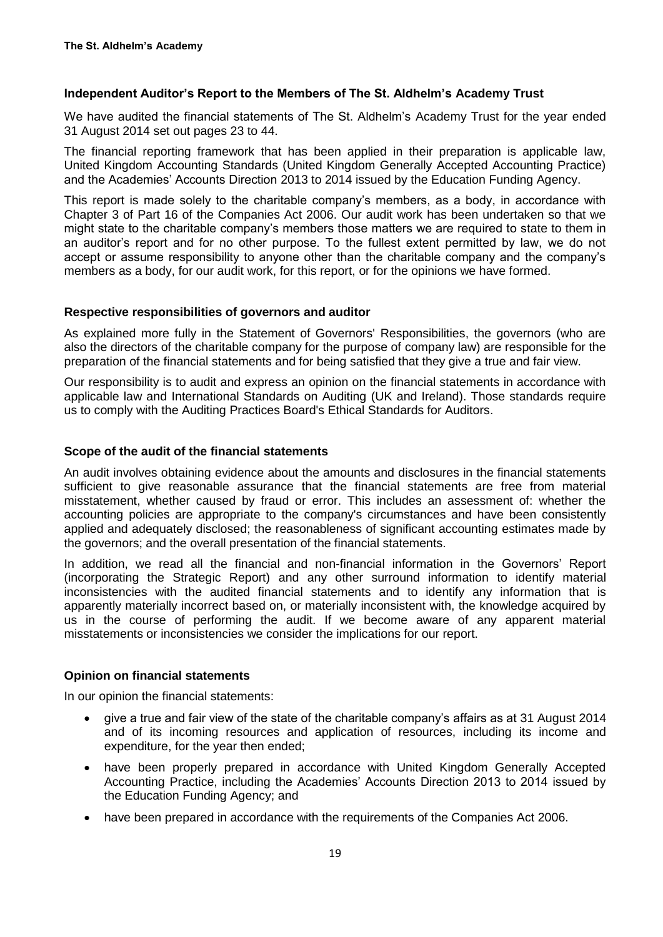### **Independent Auditor's Report to the Members of The St. Aldhelm's Academy Trust**

We have audited the financial statements of The St. Aldhelm's Academy Trust for the year ended 31 August 2014 set out pages 23 to 44.

The financial reporting framework that has been applied in their preparation is applicable law, United Kingdom Accounting Standards (United Kingdom Generally Accepted Accounting Practice) and the Academies' Accounts Direction 2013 to 2014 issued by the Education Funding Agency.

This report is made solely to the charitable company's members, as a body, in accordance with Chapter 3 of Part 16 of the Companies Act 2006. Our audit work has been undertaken so that we might state to the charitable company's members those matters we are required to state to them in an auditor's report and for no other purpose. To the fullest extent permitted by law, we do not accept or assume responsibility to anyone other than the charitable company and the company's members as a body, for our audit work, for this report, or for the opinions we have formed.

#### **Respective responsibilities of governors and auditor**

As explained more fully in the Statement of Governors' Responsibilities, the governors (who are also the directors of the charitable company for the purpose of company law) are responsible for the preparation of the financial statements and for being satisfied that they give a true and fair view.

Our responsibility is to audit and express an opinion on the financial statements in accordance with applicable law and International Standards on Auditing (UK and Ireland). Those standards require us to comply with the Auditing Practices Board's Ethical Standards for Auditors.

#### **Scope of the audit of the financial statements**

An audit involves obtaining evidence about the amounts and disclosures in the financial statements sufficient to give reasonable assurance that the financial statements are free from material misstatement, whether caused by fraud or error. This includes an assessment of: whether the accounting policies are appropriate to the company's circumstances and have been consistently applied and adequately disclosed; the reasonableness of significant accounting estimates made by the governors; and the overall presentation of the financial statements.

In addition, we read all the financial and non-financial information in the Governors' Report (incorporating the Strategic Report) and any other surround information to identify material inconsistencies with the audited financial statements and to identify any information that is apparently materially incorrect based on, or materially inconsistent with, the knowledge acquired by us in the course of performing the audit. If we become aware of any apparent material misstatements or inconsistencies we consider the implications for our report.

### **Opinion on financial statements**

In our opinion the financial statements:

- give a true and fair view of the state of the charitable company's affairs as at 31 August 2014 and of its incoming resources and application of resources, including its income and expenditure, for the year then ended;
- have been properly prepared in accordance with United Kingdom Generally Accepted Accounting Practice, including the Academies' Accounts Direction 2013 to 2014 issued by the Education Funding Agency; and
- have been prepared in accordance with the requirements of the Companies Act 2006.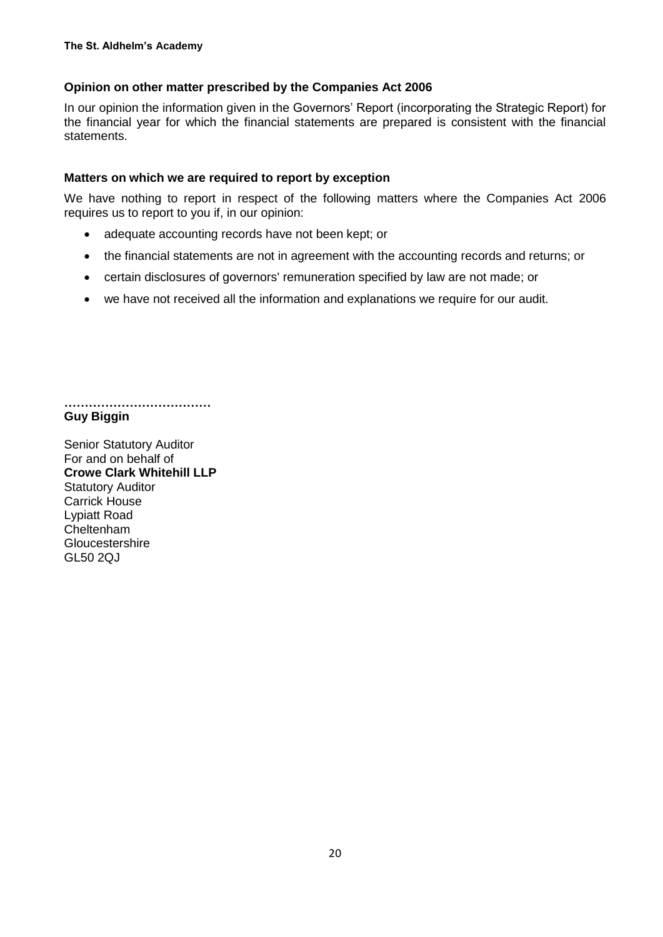## **Opinion on other matter prescribed by the Companies Act 2006**

In our opinion the information given in the Governors' Report (incorporating the Strategic Report) for the financial year for which the financial statements are prepared is consistent with the financial statements.

### **Matters on which we are required to report by exception**

We have nothing to report in respect of the following matters where the Companies Act 2006 requires us to report to you if, in our opinion:

- adequate accounting records have not been kept; or
- the financial statements are not in agreement with the accounting records and returns; or
- certain disclosures of governors' remuneration specified by law are not made; or
- we have not received all the information and explanations we require for our audit.

**……………………………… Guy Biggin**

Senior Statutory Auditor For and on behalf of **Crowe Clark Whitehill LLP** Statutory Auditor Carrick House Lypiatt Road Cheltenham Gloucestershire GL50 2QJ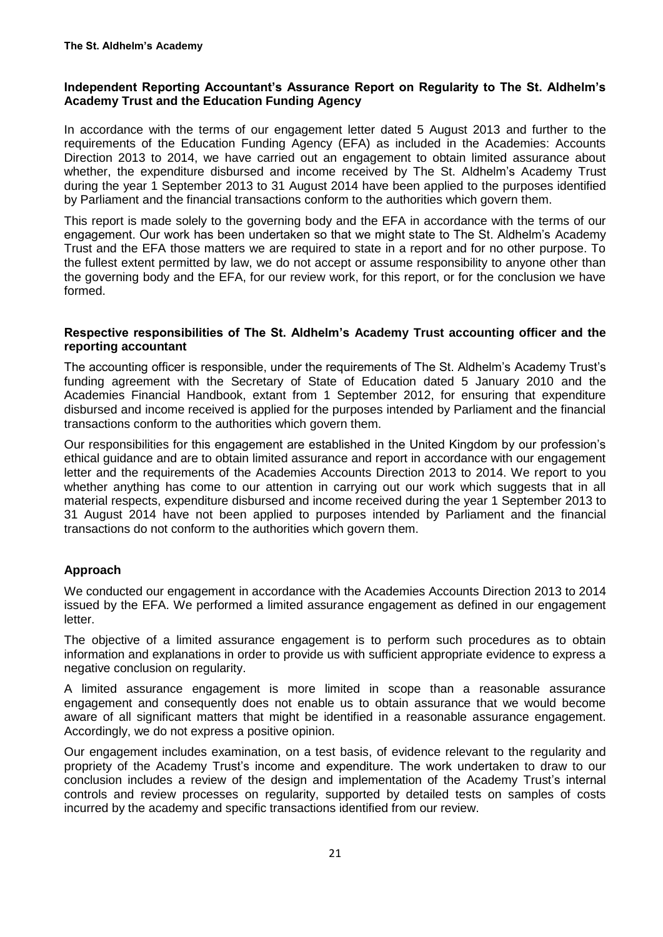## **Independent Reporting Accountant's Assurance Report on Regularity to The St. Aldhelm's Academy Trust and the Education Funding Agency**

In accordance with the terms of our engagement letter dated 5 August 2013 and further to the requirements of the Education Funding Agency (EFA) as included in the Academies: Accounts Direction 2013 to 2014, we have carried out an engagement to obtain limited assurance about whether, the expenditure disbursed and income received by The St. Aldhelm's Academy Trust during the year 1 September 2013 to 31 August 2014 have been applied to the purposes identified by Parliament and the financial transactions conform to the authorities which govern them.

This report is made solely to the governing body and the EFA in accordance with the terms of our engagement. Our work has been undertaken so that we might state to The St. Aldhelm's Academy Trust and the EFA those matters we are required to state in a report and for no other purpose. To the fullest extent permitted by law, we do not accept or assume responsibility to anyone other than the governing body and the EFA, for our review work, for this report, or for the conclusion we have formed.

#### **Respective responsibilities of The St. Aldhelm's Academy Trust accounting officer and the reporting accountant**

The accounting officer is responsible, under the requirements of The St. Aldhelm's Academy Trust's funding agreement with the Secretary of State of Education dated 5 January 2010 and the Academies Financial Handbook, extant from 1 September 2012, for ensuring that expenditure disbursed and income received is applied for the purposes intended by Parliament and the financial transactions conform to the authorities which govern them.

Our responsibilities for this engagement are established in the United Kingdom by our profession's ethical guidance and are to obtain limited assurance and report in accordance with our engagement letter and the requirements of the Academies Accounts Direction 2013 to 2014. We report to you whether anything has come to our attention in carrying out our work which suggests that in all material respects, expenditure disbursed and income received during the year 1 September 2013 to 31 August 2014 have not been applied to purposes intended by Parliament and the financial transactions do not conform to the authorities which govern them.

## **Approach**

We conducted our engagement in accordance with the Academies Accounts Direction 2013 to 2014 issued by the EFA. We performed a limited assurance engagement as defined in our engagement letter.

The objective of a limited assurance engagement is to perform such procedures as to obtain information and explanations in order to provide us with sufficient appropriate evidence to express a negative conclusion on regularity.

A limited assurance engagement is more limited in scope than a reasonable assurance engagement and consequently does not enable us to obtain assurance that we would become aware of all significant matters that might be identified in a reasonable assurance engagement. Accordingly, we do not express a positive opinion.

Our engagement includes examination, on a test basis, of evidence relevant to the regularity and propriety of the Academy Trust's income and expenditure. The work undertaken to draw to our conclusion includes a review of the design and implementation of the Academy Trust's internal controls and review processes on regularity, supported by detailed tests on samples of costs incurred by the academy and specific transactions identified from our review.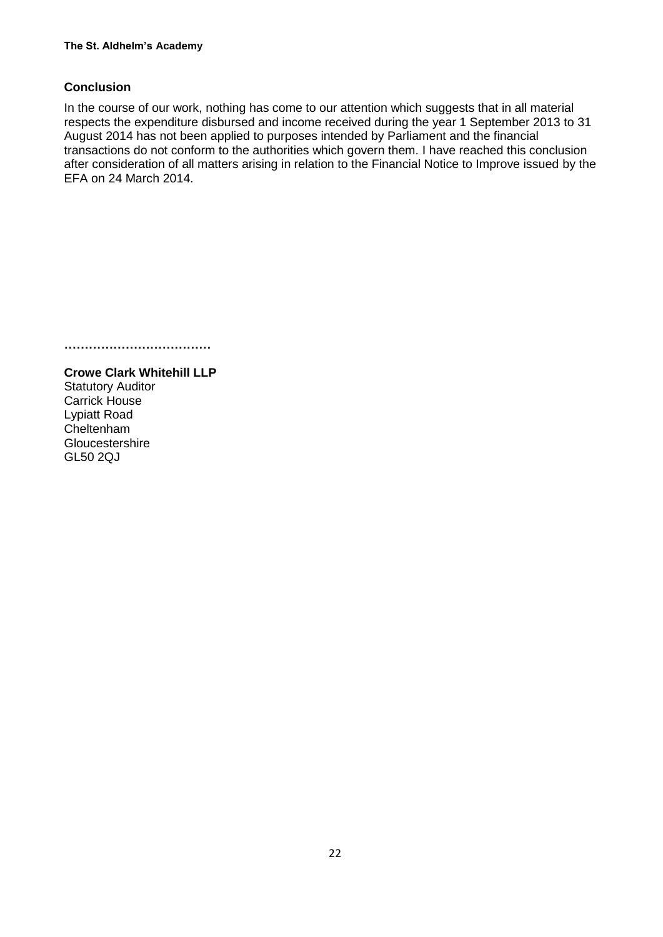## **Conclusion**

In the course of our work, nothing has come to our attention which suggests that in all material respects the expenditure disbursed and income received during the year 1 September 2013 to 31 August 2014 has not been applied to purposes intended by Parliament and the financial transactions do not conform to the authorities which govern them. I have reached this conclusion after consideration of all matters arising in relation to the Financial Notice to Improve issued by the EFA on 24 March 2014.

**………………………………**

**Crowe Clark Whitehill LLP** Statutory Auditor Carrick House Lypiatt Road Cheltenham **Gloucestershire** GL50 2QJ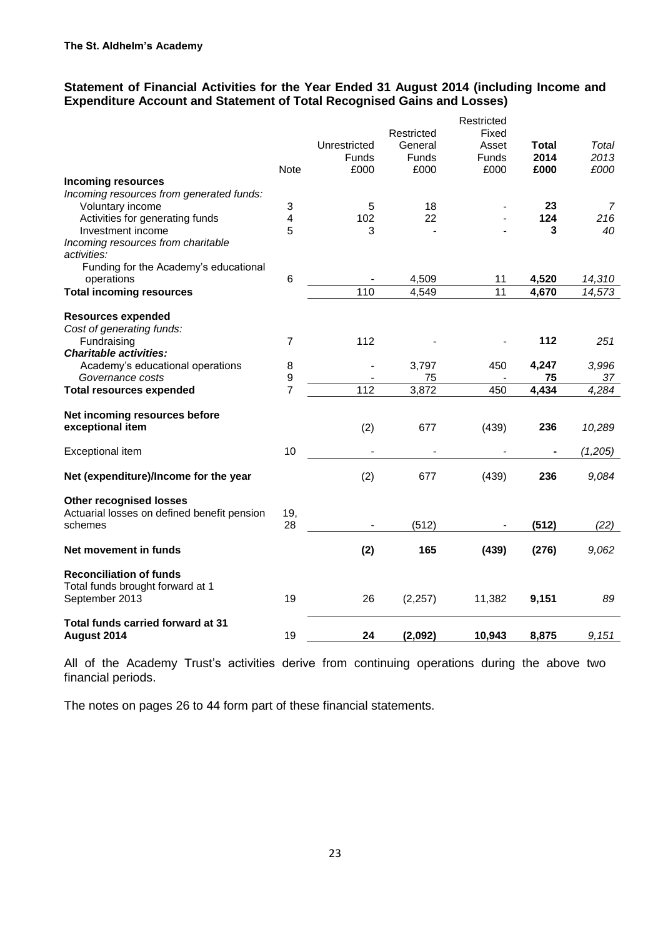## **Statement of Financial Activities for the Year Ended 31 August 2014 (including Income and Expenditure Account and Statement of Total Recognised Gains and Losses)**

|                                                                       |                |              |                       | Restricted     |              |         |
|-----------------------------------------------------------------------|----------------|--------------|-----------------------|----------------|--------------|---------|
|                                                                       |                | Unrestricted | Restricted<br>General | Fixed<br>Asset | <b>Total</b> | Total   |
|                                                                       |                | <b>Funds</b> | Funds                 | Funds          | 2014         | 2013    |
|                                                                       | <b>Note</b>    | £000         | £000                  | £000           | £000         | £000    |
| <b>Incoming resources</b><br>Incoming resources from generated funds: |                |              |                       |                |              |         |
| Voluntary income                                                      | 3              | 5            | 18                    |                | 23           | 7       |
| Activities for generating funds                                       | 4              | 102          | 22                    |                | 124          | 216     |
| Investment income                                                     | 5              | 3            |                       |                | 3            | 40      |
| Incoming resources from charitable<br>activities:                     |                |              |                       |                |              |         |
| Funding for the Academy's educational                                 |                |              |                       |                |              |         |
| operations                                                            | 6              |              | 4,509                 | 11             | 4,520        | 14,310  |
| <b>Total incoming resources</b>                                       |                | 110          | 4,549                 | 11             | 4,670        | 14,573  |
| <b>Resources expended</b><br>Cost of generating funds:                |                |              |                       |                |              |         |
| Fundraising                                                           | $\overline{7}$ | 112          |                       |                | 112          | 251     |
| <b>Charitable activities:</b>                                         |                |              |                       |                |              |         |
| Academy's educational operations                                      | 8              |              | 3,797                 | 450            | 4,247        | 3,996   |
| Governance costs                                                      | 9              |              | 75                    |                | 75           | 37      |
| <b>Total resources expended</b>                                       | $\overline{7}$ | 112          | 3,872                 | 450            | 4,434        | 4,284   |
|                                                                       |                |              |                       |                |              |         |
| Net incoming resources before<br>exceptional item                     |                | (2)          | 677                   | (439)          | 236          | 10,289  |
| Exceptional item                                                      | 10             |              |                       |                | ۰            | (1,205) |
| Net (expenditure)/Income for the year                                 |                | (2)          | 677                   | (439)          | 236          | 9,084   |
| <b>Other recognised losses</b>                                        |                |              |                       |                |              |         |
| Actuarial losses on defined benefit pension                           | 19,            |              |                       |                |              |         |
| schemes                                                               | 28             |              | (512)                 |                | (512)        | (22)    |
| Net movement in funds                                                 |                | (2)          | 165                   | (439)          | (276)        | 9,062   |
| <b>Reconciliation of funds</b><br>Total funds brought forward at 1    |                |              |                       |                |              |         |
| September 2013                                                        | 19             | 26           | (2, 257)              | 11,382         | 9,151        | 89      |
| Total funds carried forward at 31<br>August 2014                      | 19             | 24           | (2,092)               | 10,943         | 8,875        | 9,151   |
|                                                                       |                |              |                       |                |              |         |

All of the Academy Trust's activities derive from continuing operations during the above two financial periods.

The notes on pages 26 to 44 form part of these financial statements.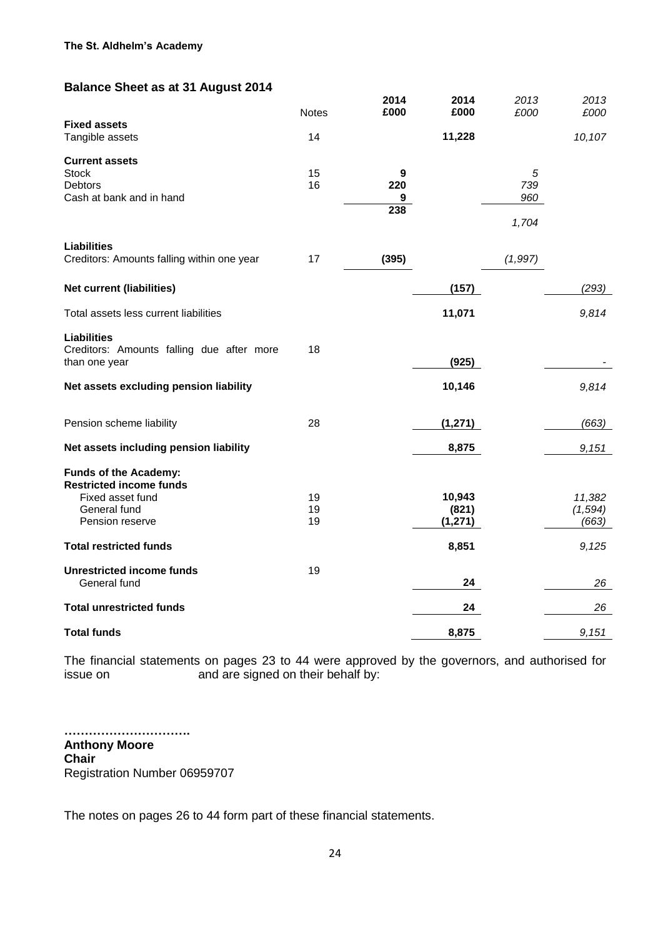## **Balance Sheet as at 31 August 2014**

|                                            | <b>Notes</b> | 2014<br>£000            | 2014<br>£000      | 2013<br>£000 | 2013<br>£000      |
|--------------------------------------------|--------------|-------------------------|-------------------|--------------|-------------------|
| <b>Fixed assets</b>                        |              |                         |                   |              |                   |
| Tangible assets                            | 14           |                         | 11,228            |              | 10,107            |
| <b>Current assets</b>                      |              |                         |                   |              |                   |
| <b>Stock</b>                               | 15           | $\boldsymbol{9}$<br>220 |                   | 5            |                   |
| Debtors<br>Cash at bank and in hand        | 16           | 9                       |                   | 739<br>960   |                   |
|                                            |              | 238                     |                   |              |                   |
|                                            |              |                         |                   | 1,704        |                   |
| <b>Liabilities</b>                         |              |                         |                   |              |                   |
| Creditors: Amounts falling within one year | 17           | (395)                   |                   | (1, 997)     |                   |
| <b>Net current (liabilities)</b>           |              |                         | (157)             |              | (293)             |
|                                            |              |                         |                   |              |                   |
| Total assets less current liabilities      |              |                         | 11,071            |              | 9,814             |
| <b>Liabilities</b>                         |              |                         |                   |              |                   |
| Creditors: Amounts falling due after more  | 18           |                         |                   |              |                   |
| than one year                              |              |                         | (925)             |              |                   |
| Net assets excluding pension liability     |              |                         | 10,146            |              | 9,814             |
|                                            |              |                         |                   |              |                   |
| Pension scheme liability                   | 28           |                         | (1, 271)          |              | (663)             |
| Net assets including pension liability     |              |                         | 8,875             |              | 9,151             |
| Funds of the Academy:                      |              |                         |                   |              |                   |
| <b>Restricted income funds</b>             |              |                         |                   |              |                   |
| Fixed asset fund                           | 19           |                         | 10,943            |              | 11,382            |
| General fund<br>Pension reserve            | 19<br>19     |                         | (821)<br>(1, 271) |              | (1, 594)<br>(663) |
|                                            |              |                         |                   |              |                   |
| <b>Total restricted funds</b>              |              |                         | 8,851             |              | 9,125             |
| <b>Unrestricted income funds</b>           | 19           |                         |                   |              |                   |
| General fund                               |              |                         | 24                |              | 26                |
| <b>Total unrestricted funds</b>            |              |                         | 24                |              | 26                |
| <b>Total funds</b>                         |              |                         | 8,875             |              | 9,151             |
|                                            |              |                         |                   |              |                   |

The financial statements on pages 23 to 44 were approved by the governors, and authorised for issue on and are signed on their behalf by:

**…………………………. Anthony Moore Chair** Registration Number 06959707

The notes on pages 26 to 44 form part of these financial statements.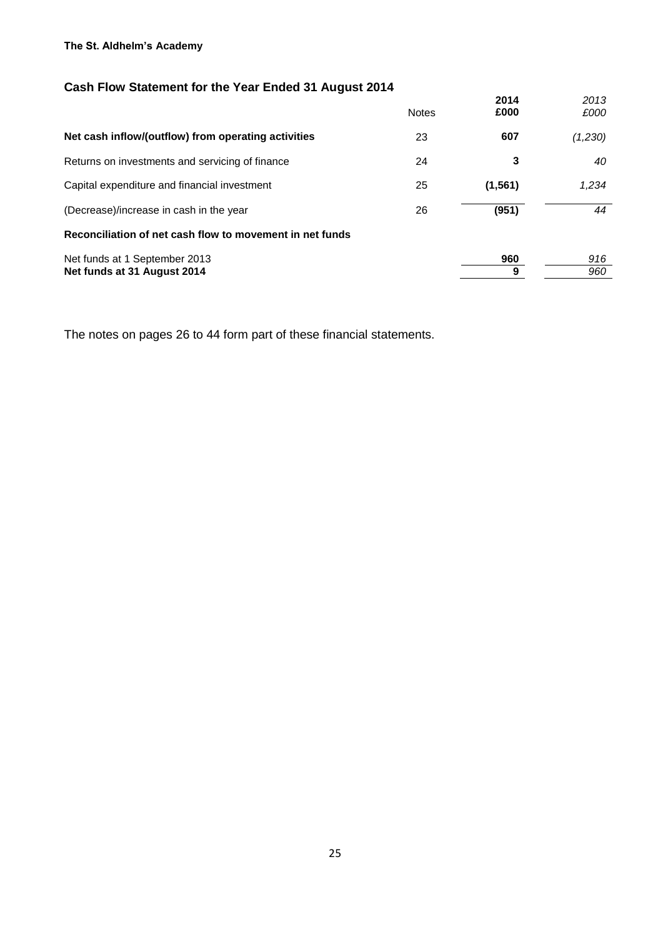## **The St. Aldhelm's Academy**

# **Cash Flow Statement for the Year Ended 31 August 2014**

|                                                          | <b>Notes</b> | 2014<br>£000 | 2013<br>£000 |
|----------------------------------------------------------|--------------|--------------|--------------|
| Net cash inflow/(outflow) from operating activities      | 23           | 607          | (1,230)      |
| Returns on investments and servicing of finance          | 24           | 3            | 40           |
| Capital expenditure and financial investment             | 25           | (1, 561)     | 1,234        |
| (Decrease)/increase in cash in the year                  | 26           | (951)        | 44           |
| Reconciliation of net cash flow to movement in net funds |              |              |              |
| Net funds at 1 September 2013                            |              | 960          | 916          |
| Net funds at 31 August 2014                              |              | 9            | 960          |

The notes on pages 26 to 44 form part of these financial statements.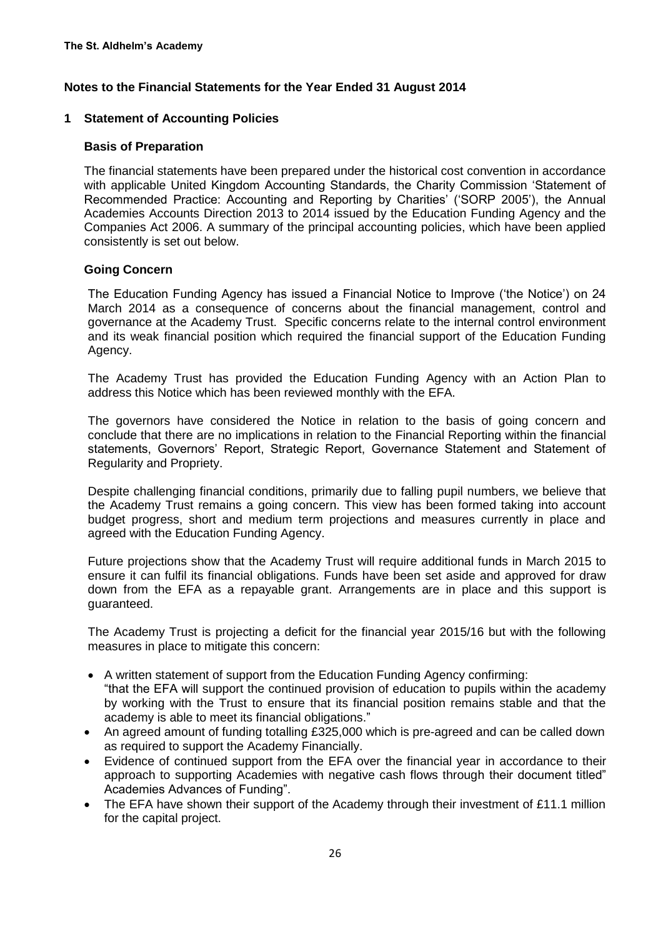### **1 Statement of Accounting Policies**

#### **Basis of Preparation**

The financial statements have been prepared under the historical cost convention in accordance with applicable United Kingdom Accounting Standards, the Charity Commission 'Statement of Recommended Practice: Accounting and Reporting by Charities' ('SORP 2005'), the Annual Academies Accounts Direction 2013 to 2014 issued by the Education Funding Agency and the Companies Act 2006. A summary of the principal accounting policies, which have been applied consistently is set out below.

#### **Going Concern**

The Education Funding Agency has issued a Financial Notice to Improve ('the Notice') on 24 March 2014 as a consequence of concerns about the financial management, control and governance at the Academy Trust. Specific concerns relate to the internal control environment and its weak financial position which required the financial support of the Education Funding Agency.

The Academy Trust has provided the Education Funding Agency with an Action Plan to address this Notice which has been reviewed monthly with the EFA.

The governors have considered the Notice in relation to the basis of going concern and conclude that there are no implications in relation to the Financial Reporting within the financial statements, Governors' Report, Strategic Report, Governance Statement and Statement of Regularity and Propriety.

Despite challenging financial conditions, primarily due to falling pupil numbers, we believe that the Academy Trust remains a going concern. This view has been formed taking into account budget progress, short and medium term projections and measures currently in place and agreed with the Education Funding Agency.

Future projections show that the Academy Trust will require additional funds in March 2015 to ensure it can fulfil its financial obligations. Funds have been set aside and approved for draw down from the EFA as a repayable grant. Arrangements are in place and this support is guaranteed.

The Academy Trust is projecting a deficit for the financial year 2015/16 but with the following measures in place to mitigate this concern:

- A written statement of support from the Education Funding Agency confirming: "that the EFA will support the continued provision of education to pupils within the academy by working with the Trust to ensure that its financial position remains stable and that the academy is able to meet its financial obligations."
- An agreed amount of funding totalling £325,000 which is pre-agreed and can be called down as required to support the Academy Financially.
- Evidence of continued support from the EFA over the financial year in accordance to their approach to supporting Academies with negative cash flows through their document titled" Academies Advances of Funding".
- The EFA have shown their support of the Academy through their investment of £11.1 million for the capital project.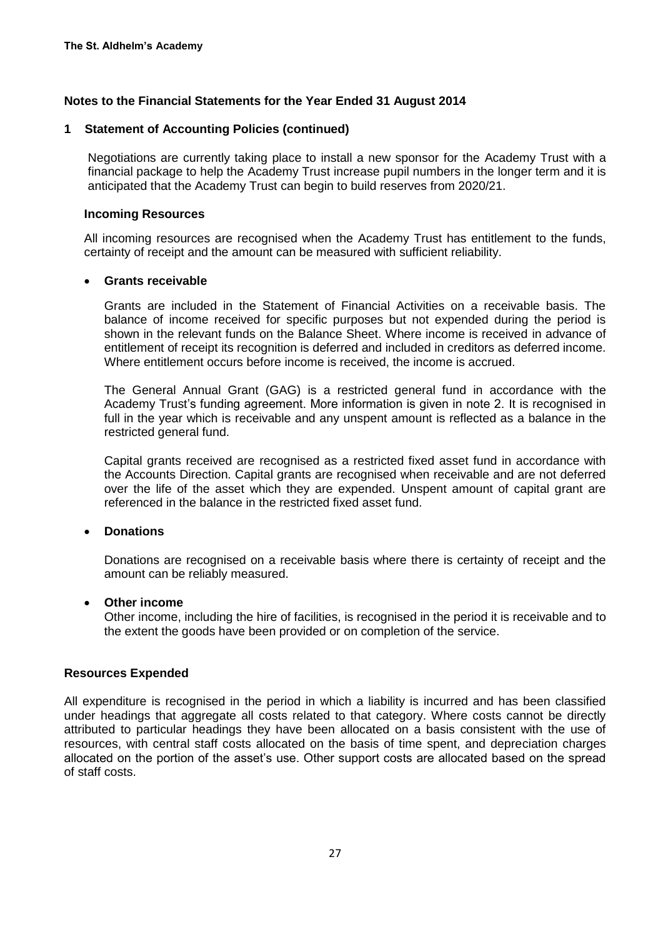#### **1 Statement of Accounting Policies (continued)**

Negotiations are currently taking place to install a new sponsor for the Academy Trust with a financial package to help the Academy Trust increase pupil numbers in the longer term and it is anticipated that the Academy Trust can begin to build reserves from 2020/21.

#### **Incoming Resources**

All incoming resources are recognised when the Academy Trust has entitlement to the funds, certainty of receipt and the amount can be measured with sufficient reliability.

#### **Grants receivable**

Grants are included in the Statement of Financial Activities on a receivable basis. The balance of income received for specific purposes but not expended during the period is shown in the relevant funds on the Balance Sheet. Where income is received in advance of entitlement of receipt its recognition is deferred and included in creditors as deferred income. Where entitlement occurs before income is received, the income is accrued.

The General Annual Grant (GAG) is a restricted general fund in accordance with the Academy Trust's funding agreement. More information is given in note 2. It is recognised in full in the year which is receivable and any unspent amount is reflected as a balance in the restricted general fund.

Capital grants received are recognised as a restricted fixed asset fund in accordance with the Accounts Direction. Capital grants are recognised when receivable and are not deferred over the life of the asset which they are expended. Unspent amount of capital grant are referenced in the balance in the restricted fixed asset fund.

#### **Donations**

Donations are recognised on a receivable basis where there is certainty of receipt and the amount can be reliably measured.

#### **Other income**

Other income, including the hire of facilities, is recognised in the period it is receivable and to the extent the goods have been provided or on completion of the service.

#### **Resources Expended**

All expenditure is recognised in the period in which a liability is incurred and has been classified under headings that aggregate all costs related to that category. Where costs cannot be directly attributed to particular headings they have been allocated on a basis consistent with the use of resources, with central staff costs allocated on the basis of time spent, and depreciation charges allocated on the portion of the asset's use. Other support costs are allocated based on the spread of staff costs.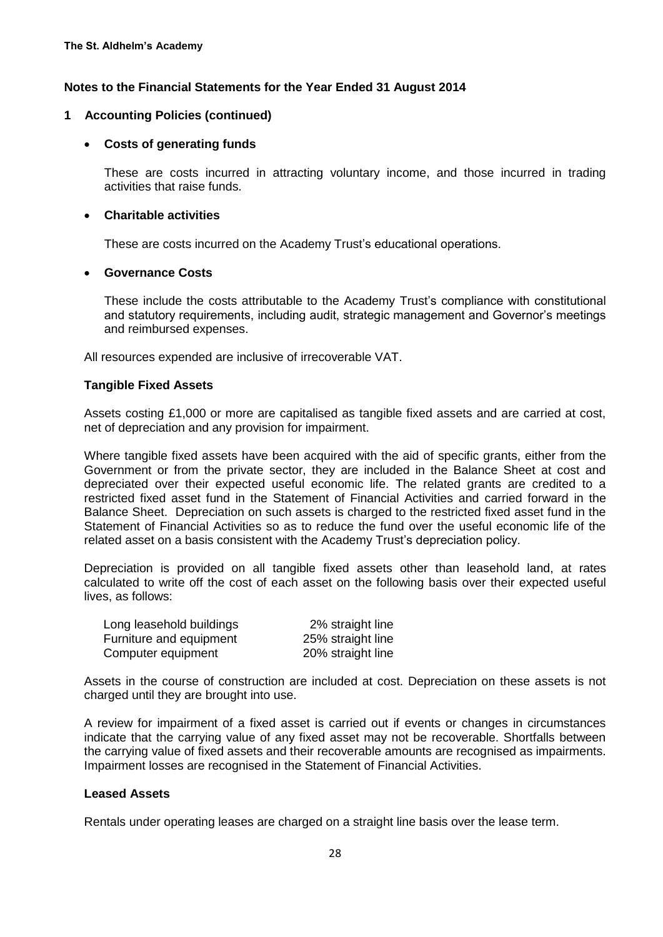#### **1 Accounting Policies (continued)**

#### **Costs of generating funds**

These are costs incurred in attracting voluntary income, and those incurred in trading activities that raise funds.

#### **Charitable activities**

These are costs incurred on the Academy Trust's educational operations.

#### **Governance Costs**

These include the costs attributable to the Academy Trust's compliance with constitutional and statutory requirements, including audit, strategic management and Governor's meetings and reimbursed expenses.

All resources expended are inclusive of irrecoverable VAT.

#### **Tangible Fixed Assets**

Assets costing £1,000 or more are capitalised as tangible fixed assets and are carried at cost, net of depreciation and any provision for impairment.

Where tangible fixed assets have been acquired with the aid of specific grants, either from the Government or from the private sector, they are included in the Balance Sheet at cost and depreciated over their expected useful economic life. The related grants are credited to a restricted fixed asset fund in the Statement of Financial Activities and carried forward in the Balance Sheet. Depreciation on such assets is charged to the restricted fixed asset fund in the Statement of Financial Activities so as to reduce the fund over the useful economic life of the related asset on a basis consistent with the Academy Trust's depreciation policy.

Depreciation is provided on all tangible fixed assets other than leasehold land, at rates calculated to write off the cost of each asset on the following basis over their expected useful lives, as follows:

| Long leasehold buildings | 2% straight line  |
|--------------------------|-------------------|
| Furniture and equipment  | 25% straight line |
| Computer equipment       | 20% straight line |

Assets in the course of construction are included at cost. Depreciation on these assets is not charged until they are brought into use.

A review for impairment of a fixed asset is carried out if events or changes in circumstances indicate that the carrying value of any fixed asset may not be recoverable. Shortfalls between the carrying value of fixed assets and their recoverable amounts are recognised as impairments. Impairment losses are recognised in the Statement of Financial Activities.

### **Leased Assets**

Rentals under operating leases are charged on a straight line basis over the lease term.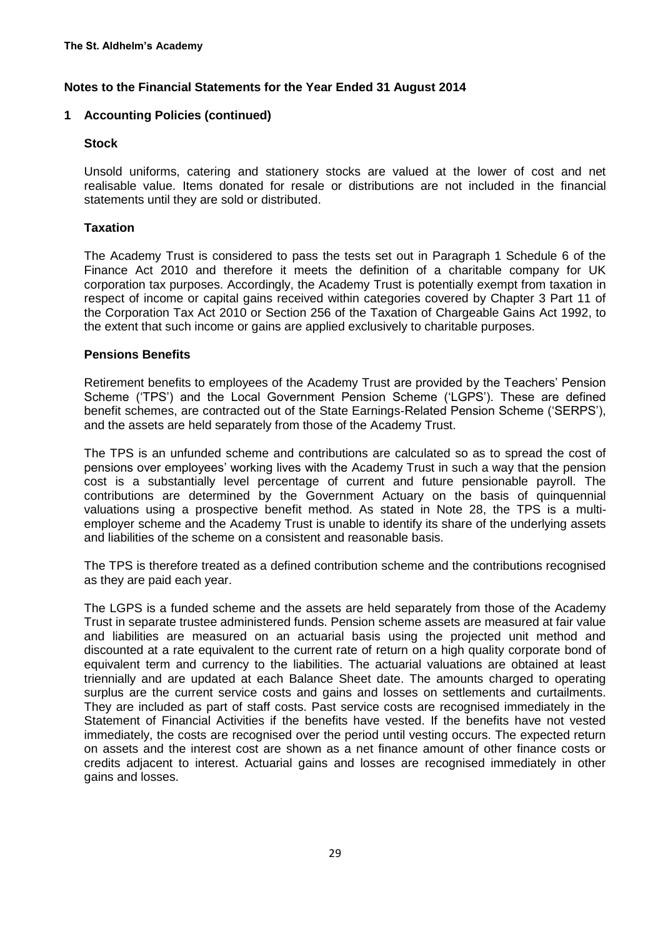## **1 Accounting Policies (continued)**

#### **Stock**

Unsold uniforms, catering and stationery stocks are valued at the lower of cost and net realisable value. Items donated for resale or distributions are not included in the financial statements until they are sold or distributed.

### **Taxation**

The Academy Trust is considered to pass the tests set out in Paragraph 1 Schedule 6 of the Finance Act 2010 and therefore it meets the definition of a charitable company for UK corporation tax purposes. Accordingly, the Academy Trust is potentially exempt from taxation in respect of income or capital gains received within categories covered by Chapter 3 Part 11 of the Corporation Tax Act 2010 or Section 256 of the Taxation of Chargeable Gains Act 1992, to the extent that such income or gains are applied exclusively to charitable purposes.

### **Pensions Benefits**

Retirement benefits to employees of the Academy Trust are provided by the Teachers' Pension Scheme ('TPS') and the Local Government Pension Scheme ('LGPS'). These are defined benefit schemes, are contracted out of the State Earnings-Related Pension Scheme ('SERPS'), and the assets are held separately from those of the Academy Trust.

The TPS is an unfunded scheme and contributions are calculated so as to spread the cost of pensions over employees' working lives with the Academy Trust in such a way that the pension cost is a substantially level percentage of current and future pensionable payroll. The contributions are determined by the Government Actuary on the basis of quinquennial valuations using a prospective benefit method. As stated in Note 28, the TPS is a multiemployer scheme and the Academy Trust is unable to identify its share of the underlying assets and liabilities of the scheme on a consistent and reasonable basis.

The TPS is therefore treated as a defined contribution scheme and the contributions recognised as they are paid each year.

The LGPS is a funded scheme and the assets are held separately from those of the Academy Trust in separate trustee administered funds. Pension scheme assets are measured at fair value and liabilities are measured on an actuarial basis using the projected unit method and discounted at a rate equivalent to the current rate of return on a high quality corporate bond of equivalent term and currency to the liabilities. The actuarial valuations are obtained at least triennially and are updated at each Balance Sheet date. The amounts charged to operating surplus are the current service costs and gains and losses on settlements and curtailments. They are included as part of staff costs. Past service costs are recognised immediately in the Statement of Financial Activities if the benefits have vested. If the benefits have not vested immediately, the costs are recognised over the period until vesting occurs. The expected return on assets and the interest cost are shown as a net finance amount of other finance costs or credits adjacent to interest. Actuarial gains and losses are recognised immediately in other gains and losses.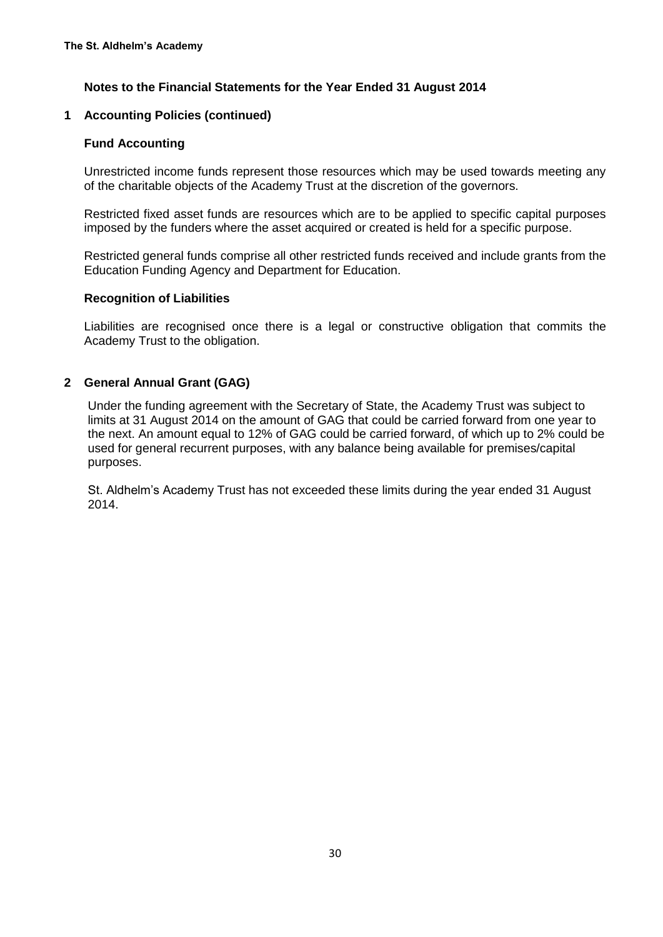#### **1 Accounting Policies (continued)**

#### **Fund Accounting**

Unrestricted income funds represent those resources which may be used towards meeting any of the charitable objects of the Academy Trust at the discretion of the governors.

Restricted fixed asset funds are resources which are to be applied to specific capital purposes imposed by the funders where the asset acquired or created is held for a specific purpose.

Restricted general funds comprise all other restricted funds received and include grants from the Education Funding Agency and Department for Education.

#### **Recognition of Liabilities**

Liabilities are recognised once there is a legal or constructive obligation that commits the Academy Trust to the obligation.

#### **2 General Annual Grant (GAG)**

Under the funding agreement with the Secretary of State, the Academy Trust was subject to limits at 31 August 2014 on the amount of GAG that could be carried forward from one year to the next. An amount equal to 12% of GAG could be carried forward, of which up to 2% could be used for general recurrent purposes, with any balance being available for premises/capital purposes.

St. Aldhelm's Academy Trust has not exceeded these limits during the year ended 31 August 2014.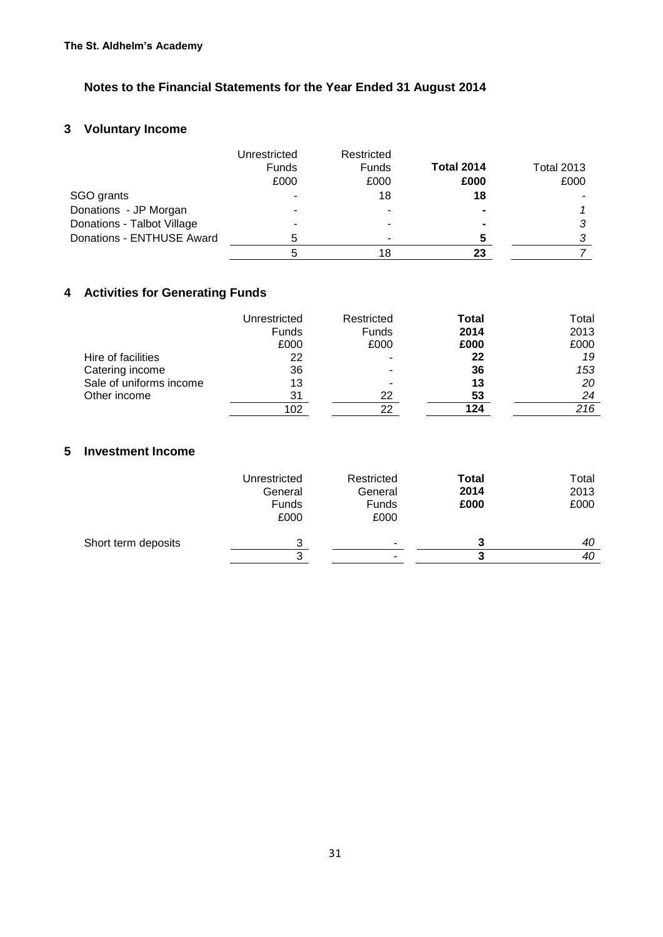## **3 Voluntary Income**

|                            | Unrestricted<br><b>Funds</b> | Restricted<br>Funds | <b>Total 2014</b>        | <b>Total 2013</b> |
|----------------------------|------------------------------|---------------------|--------------------------|-------------------|
|                            | £000                         | £000                | £000                     | £000              |
| SGO grants                 | $\blacksquare$               | 18                  | 18                       |                   |
| Donations - JP Morgan      | ۰                            |                     | $\overline{\phantom{0}}$ |                   |
| Donations - Talbot Village |                              |                     | $\blacksquare$           |                   |
| Donations - ENTHUSE Award  | 5                            |                     |                          |                   |
|                            |                              | 18                  | 23                       |                   |

# **4 Activities for Generating Funds**

|                         | Unrestricted<br><b>Funds</b> | Restricted<br><b>Funds</b> | Total<br>2014 | Total<br>2013 |
|-------------------------|------------------------------|----------------------------|---------------|---------------|
|                         | £000                         | £000                       | £000          | £000          |
| Hire of facilities      | 22                           |                            | 22            | 19            |
| Catering income         | 36                           |                            | 36            | 153           |
| Sale of uniforms income | 13                           |                            | 13            | 20            |
| Other income            | 31                           | 22                         | 53            | 24            |
|                         | 102                          | 22                         | 124           | 216           |

## **5 Investment Income**

|                     | Unrestricted<br>General<br>Funds<br>£000 | Restricted<br>General<br>Funds<br>£000 | <b>Total</b><br>2014<br>£000 | Total<br>2013<br>£000 |
|---------------------|------------------------------------------|----------------------------------------|------------------------------|-----------------------|
| Short term deposits | 3                                        | ۰                                      | 3                            | 40                    |
|                     | ົ                                        | $\overline{\phantom{a}}$               |                              | 40                    |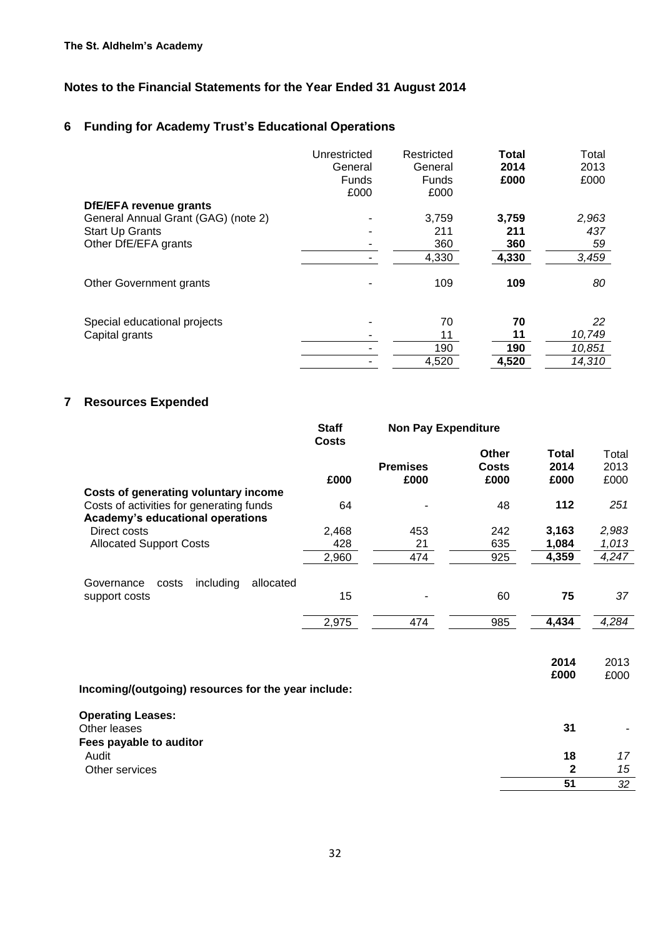# **6 Funding for Academy Trust's Educational Operations**

|                                     | Unrestricted<br>General<br><b>Funds</b> | Restricted<br>General<br><b>Funds</b> | <b>Total</b><br>2014<br>£000 | Total<br>2013<br>£000 |
|-------------------------------------|-----------------------------------------|---------------------------------------|------------------------------|-----------------------|
|                                     | £000                                    | £000                                  |                              |                       |
| <b>DfE/EFA revenue grants</b>       |                                         |                                       |                              |                       |
| General Annual Grant (GAG) (note 2) |                                         | 3,759                                 | 3,759                        | 2,963                 |
| <b>Start Up Grants</b>              |                                         | 211                                   | 211                          | 437                   |
| Other DfE/EFA grants                |                                         | 360                                   | 360                          | 59                    |
|                                     |                                         | 4,330                                 | 4,330                        | 3,459                 |
| Other Government grants             |                                         | 109                                   | 109                          | 80                    |
| Special educational projects        |                                         | 70                                    | 70                           | 22                    |
| Capital grants                      |                                         | 11                                    | 11                           | 10,749                |
|                                     |                                         | 190                                   | 190                          | 10,851                |
|                                     |                                         | 4,520                                 | 4,520                        | 14,310                |

# **7 Resources Expended**

|                                                                              | <b>Staff</b><br><b>Costs</b> | <b>Non Pay Expenditure</b> |                        |                              |                       |
|------------------------------------------------------------------------------|------------------------------|----------------------------|------------------------|------------------------------|-----------------------|
|                                                                              | £000                         | <b>Premises</b><br>£000    | Other<br>Costs<br>£000 | <b>Total</b><br>2014<br>£000 | Total<br>2013<br>£000 |
| Costs of generating voluntary income                                         |                              |                            |                        |                              |                       |
| Costs of activities for generating funds<br>Academy's educational operations | 64                           |                            | 48                     | 112                          | 251                   |
| Direct costs                                                                 | 2,468                        | 453                        | 242                    | 3,163                        | 2,983                 |
| <b>Allocated Support Costs</b>                                               | 428                          | 21                         | 635                    | 1,084                        | 1,013                 |
|                                                                              | 2,960                        | 474                        | 925                    | 4,359                        | 4,247                 |
| including<br>allocated<br>Governance<br>costs<br>support costs               | 15                           |                            | 60                     | 75                           | 37                    |
|                                                                              | 2,975                        | 474                        | 985                    | 4,434                        | 4,284                 |
| Incoming/(outgoing) resources for the year include:                          |                              |                            |                        | 2014<br>£000                 | 2013<br>£000          |
| <b>Operating Leases:</b><br>Other leases<br>Fees payable to auditor          |                              |                            |                        | 31                           |                       |
| Audit                                                                        |                              |                            |                        | 18                           | 17                    |
| Other services                                                               |                              |                            |                        | $\mathbf{2}$                 | 15                    |
|                                                                              |                              |                            |                        | 51                           | 32                    |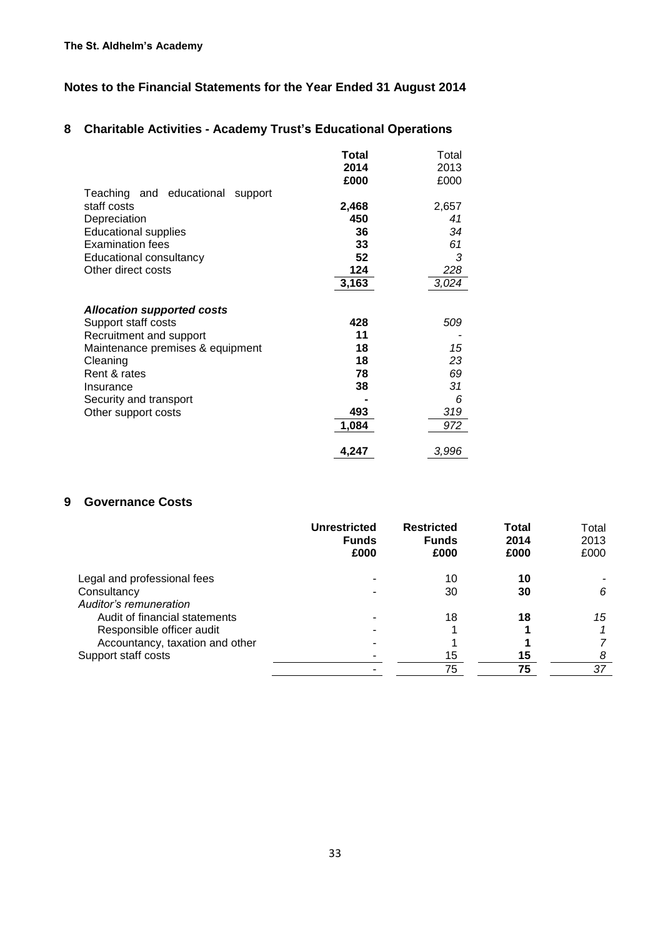## **8 Charitable Activities - Academy Trust's Educational Operations**

|                                     | Total | Total |
|-------------------------------------|-------|-------|
|                                     | 2014  | 2013  |
|                                     | £000  | £000  |
| Teaching and educational<br>support |       |       |
| staff costs                         | 2,468 | 2,657 |
| Depreciation                        | 450   | 41    |
| <b>Educational supplies</b>         | 36    | 34    |
| <b>Examination fees</b>             | 33    | 61    |
| Educational consultancy             | 52    | 3     |
| Other direct costs                  | 124   | 228   |
|                                     | 3,163 | 3,024 |
|                                     |       |       |
| <b>Allocation supported costs</b>   |       |       |
| Support staff costs                 | 428   | 509   |
| Recruitment and support             | 11    |       |
| Maintenance premises & equipment    | 18    | 15    |
| Cleaning                            | 18    | 23    |
| Rent & rates                        | 78    | 69    |
| Insurance                           | 38    | 31    |
| Security and transport              |       | 6     |
| Other support costs                 | 493   | 319   |
|                                     | 1,084 | 972   |
|                                     |       |       |
|                                     | 4,247 | 3,996 |

#### **9 Governance Costs**

|                                 | Unrestricted<br><b>Funds</b><br>£000 | <b>Restricted</b><br><b>Funds</b><br>£000 | Total<br>2014<br>£000 | Total<br>2013<br>£000 |
|---------------------------------|--------------------------------------|-------------------------------------------|-----------------------|-----------------------|
| Legal and professional fees     |                                      | 10                                        | 10                    |                       |
| Consultancy                     |                                      | 30                                        | 30                    | 6                     |
| Auditor's remuneration          |                                      |                                           |                       |                       |
| Audit of financial statements   |                                      | 18                                        | 18                    | 15                    |
| Responsible officer audit       |                                      |                                           |                       |                       |
| Accountancy, taxation and other |                                      |                                           |                       |                       |
| Support staff costs             |                                      | 15                                        | 15                    | 8                     |
|                                 |                                      | 75                                        | 75                    | 37                    |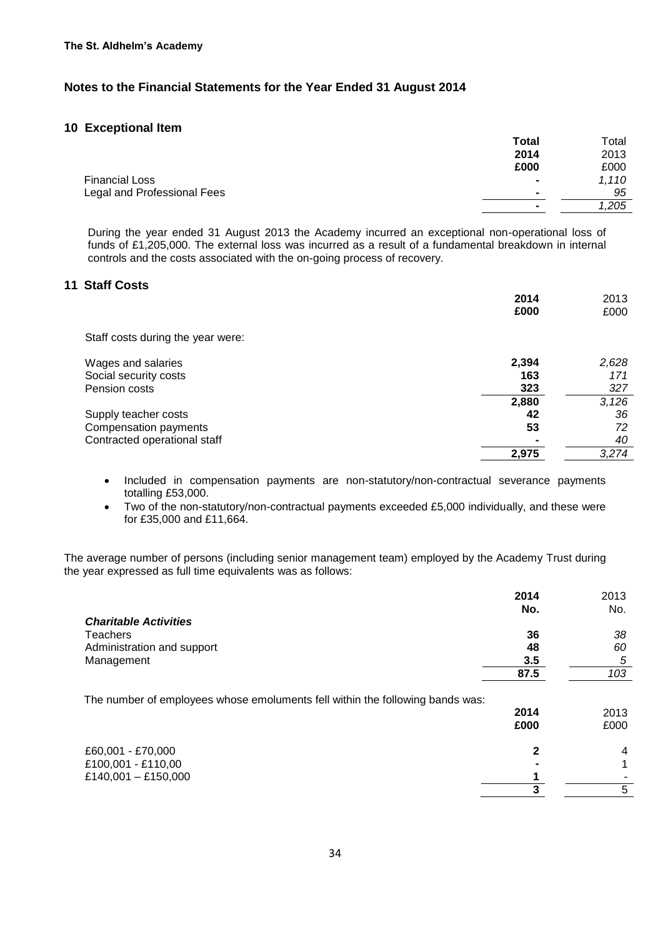#### **10 Exceptional Item**

|                             | <b>Total</b>   | Total |
|-----------------------------|----------------|-------|
|                             | 2014           | 2013  |
|                             | £000           | £000  |
| <b>Financial Loss</b>       | $\blacksquare$ | 1,110 |
| Legal and Professional Fees | $\blacksquare$ | 95    |
|                             |                | 1,205 |
|                             |                |       |

During the year ended 31 August 2013 the Academy incurred an exceptional non-operational loss of funds of £1,205,000. The external loss was incurred as a result of a fundamental breakdown in internal controls and the costs associated with the on-going process of recovery.

#### **11 Staff Costs**

|                                   | 2014  | 2013  |
|-----------------------------------|-------|-------|
|                                   | £000  | £000  |
| Staff costs during the year were: |       |       |
| Wages and salaries                | 2,394 | 2,628 |
| Social security costs             | 163   | 171   |
| Pension costs                     | 323   | 327   |
|                                   | 2,880 | 3,126 |
| Supply teacher costs              | 42    | 36    |
| Compensation payments             | 53    | 72    |
| Contracted operational staff      |       | 40    |
|                                   | 2,975 | 3,274 |

• Included in compensation payments are non-statutory/non-contractual severance payments totalling £53,000.

 Two of the non-statutory/non-contractual payments exceeded £5,000 individually, and these were for £35,000 and £11,664.

The average number of persons (including senior management team) employed by the Academy Trust during the year expressed as full time equivalents was as follows:

|                                                                               | 2014         | 2013         |
|-------------------------------------------------------------------------------|--------------|--------------|
| <b>Charitable Activities</b>                                                  | No.          | No.          |
| Teachers                                                                      | 36           | 38           |
| Administration and support                                                    | 48           | 60           |
| Management                                                                    | 3.5          | 5            |
|                                                                               | 87.5         | 103          |
| The number of employees whose emoluments fell within the following bands was: | 2014<br>£000 | 2013<br>£000 |
| £60,001 - £70,000                                                             | $\mathbf{2}$ | 4            |
| £100,001 - £110,00                                                            |              |              |
| £140,001 - £150,000                                                           |              |              |
|                                                                               | 3            | 5            |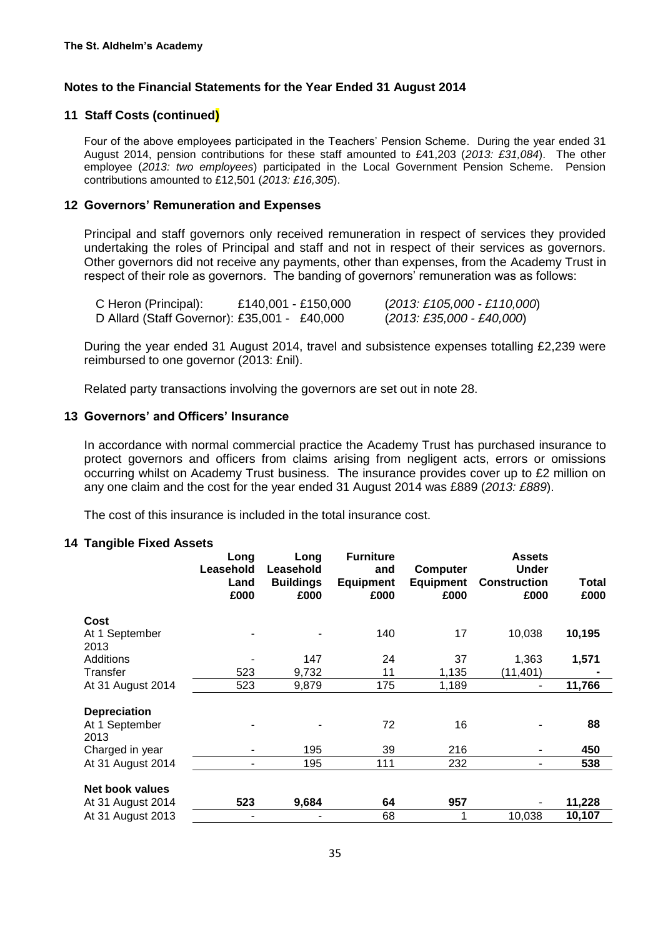### **11 Staff Costs (continued)**

Four of the above employees participated in the Teachers' Pension Scheme. During the year ended 31 August 2014, pension contributions for these staff amounted to £41,203 (*2013: £31,084*). The other employee (*2013: two employees*) participated in the Local Government Pension Scheme. Pension contributions amounted to £12,501 (*2013: £16,305*).

#### **12 Governors' Remuneration and Expenses**

Principal and staff governors only received remuneration in respect of services they provided undertaking the roles of Principal and staff and not in respect of their services as governors. Other governors did not receive any payments, other than expenses, from the Academy Trust in respect of their role as governors. The banding of governors' remuneration was as follows:

| C Heron (Principal):                         | £140,001 - £150,000 | $(2013: \pounds105,000 - \pounds110,000)$                             |
|----------------------------------------------|---------------------|-----------------------------------------------------------------------|
| D Allard (Staff Governor): £35,001 - £40,000 |                     | $(2013: \text{\textsterling}35,000 \cdot \text{\textsterling}40,000)$ |

During the year ended 31 August 2014, travel and subsistence expenses totalling £2,239 were reimbursed to one governor (2013: £nil).

Related party transactions involving the governors are set out in note 28.

#### **13 Governors' and Officers' Insurance**

In accordance with normal commercial practice the Academy Trust has purchased insurance to protect governors and officers from claims arising from negligent acts, errors or omissions occurring whilst on Academy Trust business. The insurance provides cover up to £2 million on any one claim and the cost for the year ended 31 August 2014 was £889 (*2013: £889*).

The cost of this insurance is included in the total insurance cost.

#### **14 Tangible Fixed Assets**

|                                       | Long<br>Leasehold<br>Land<br>£000 | Long<br>Leasehold<br><b>Buildings</b><br>£000 | <b>Furniture</b><br>and<br><b>Equipment</b><br>£000 | Computer<br><b>Equipment</b><br>£000 | <b>Assets</b><br><b>Under</b><br><b>Construction</b><br>£000 | Total<br>£000 |
|---------------------------------------|-----------------------------------|-----------------------------------------------|-----------------------------------------------------|--------------------------------------|--------------------------------------------------------------|---------------|
| Cost                                  |                                   |                                               |                                                     |                                      |                                                              |               |
| At 1 September<br>2013                |                                   |                                               | 140                                                 | 17                                   | 10,038                                                       | 10,195        |
| Additions                             |                                   | 147                                           | 24                                                  | 37                                   | 1,363                                                        | 1,571         |
| Transfer                              | 523                               | 9,732                                         | 11                                                  | 1,135                                | (11, 401)                                                    |               |
| At 31 August 2014                     | 523                               | 9,879                                         | 175                                                 | 1,189                                | $\blacksquare$                                               | 11,766        |
| <b>Depreciation</b><br>At 1 September |                                   |                                               | 72                                                  | 16                                   |                                                              | 88            |
| 2013<br>Charged in year               |                                   | 195                                           | 39                                                  | 216                                  |                                                              | 450           |
| At 31 August 2014                     |                                   | 195                                           | 111                                                 | 232                                  | -                                                            | 538           |
|                                       |                                   |                                               |                                                     |                                      |                                                              |               |
| Net book values                       |                                   |                                               |                                                     |                                      |                                                              |               |
| At 31 August 2014                     | 523                               | 9,684                                         | 64                                                  | 957                                  | $\overline{\phantom{a}}$                                     | 11,228        |
| At 31 August 2013                     |                                   |                                               | 68                                                  |                                      | 10,038                                                       | 10,107        |
|                                       |                                   |                                               |                                                     |                                      |                                                              |               |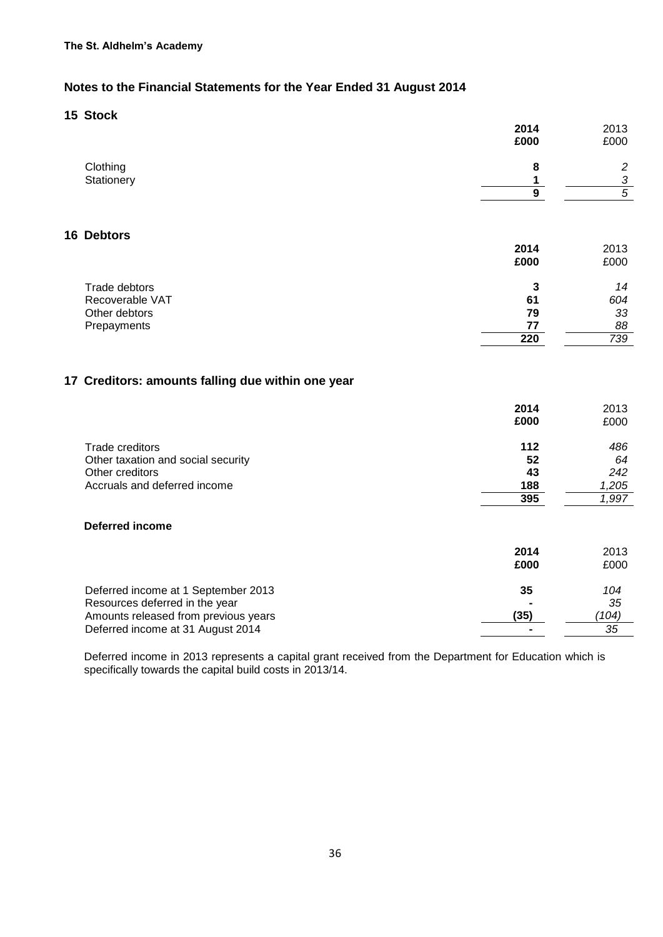#### **15 Stock**

|                                                   | 2014           | 2013           |
|---------------------------------------------------|----------------|----------------|
|                                                   | £000           | £000           |
| Clothing                                          | 8              | $\overline{c}$ |
| Stationery                                        | 1              | $\frac{3}{5}$  |
|                                                   | $\overline{9}$ |                |
| 16 Debtors                                        |                |                |
|                                                   | 2014           | 2013           |
|                                                   | £000           | £000           |
| Trade debtors                                     | 3              | 14             |
| Recoverable VAT                                   | 61             | 604            |
| Other debtors                                     | 79             | 33             |
| Prepayments                                       | 77             | 88             |
|                                                   | 220            | 739            |
| 17 Creditors: amounts falling due within one year | 2014<br>£000   | 2013<br>£000   |
| Trade creditors                                   | 112            | 486            |
| Other taxation and social security                | 52             | 64             |
| Other creditors                                   | 43             | 242            |
| Accruals and deferred income                      | 188            | 1,205          |
|                                                   | 395            | 1,997          |
| <b>Deferred income</b>                            |                |                |
|                                                   | 2014           | 2013           |
|                                                   | £000           | £000           |
| Deferred income at 1 September 2013               | 35             | 104            |
| Resources deferred in the year                    |                | 35             |
| Amounts released from previous years              | (35)           | (104)          |
| Deferred income at 31 August 2014                 | $\blacksquare$ | 35             |

Deferred income in 2013 represents a capital grant received from the Department for Education which is specifically towards the capital build costs in 2013/14.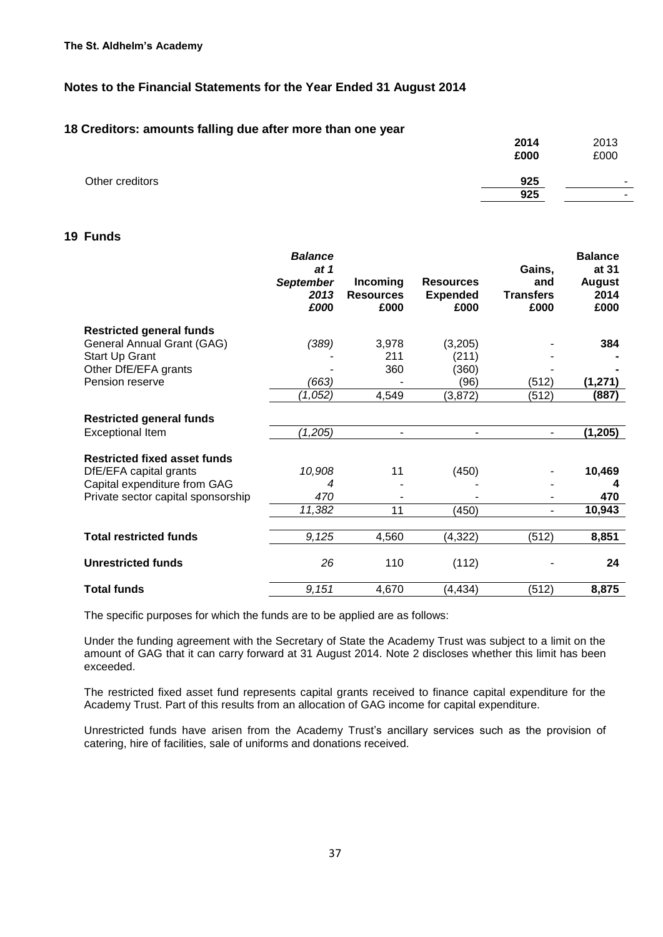#### **18 Creditors: amounts falling due after more than one year**

|                 | 2014<br>£000 | 2013<br>£000             |
|-----------------|--------------|--------------------------|
| Other creditors | 925          | $\overline{\phantom{0}}$ |
|                 | 925          | $\overline{\phantom{a}}$ |
|                 |              |                          |

### **19 Funds**

|                                     | <b>Balance</b><br>at 1<br><b>September</b><br>2013<br>£000 | Incoming<br><b>Resources</b><br>£000 | <b>Resources</b><br><b>Expended</b><br>£000 | Gains,<br>and<br><b>Transfers</b><br>£000 | <b>Balance</b><br>at 31<br><b>August</b><br>2014<br>£000 |
|-------------------------------------|------------------------------------------------------------|--------------------------------------|---------------------------------------------|-------------------------------------------|----------------------------------------------------------|
| <b>Restricted general funds</b>     |                                                            |                                      |                                             |                                           |                                                          |
| General Annual Grant (GAG)          | (389)                                                      | 3,978                                | (3,205)                                     |                                           | 384                                                      |
| Start Up Grant                      |                                                            | 211                                  | (211)                                       |                                           |                                                          |
| Other DfE/EFA grants                |                                                            | 360                                  | (360)                                       |                                           |                                                          |
| Pension reserve                     | (663)                                                      |                                      | (96)                                        | (512)                                     | (1, 271)                                                 |
|                                     | (1,052)                                                    | 4,549                                | (3,872)                                     | (512)                                     | (887)                                                    |
| <b>Restricted general funds</b>     |                                                            |                                      |                                             |                                           |                                                          |
| <b>Exceptional Item</b>             | (1,205)                                                    |                                      | $\blacksquare$                              | -                                         | (1, 205)                                                 |
| <b>Restricted fixed asset funds</b> |                                                            |                                      |                                             |                                           |                                                          |
| DfE/EFA capital grants              | 10,908                                                     | 11                                   | (450)                                       |                                           | 10,469                                                   |
| Capital expenditure from GAG        | 4                                                          |                                      |                                             |                                           | 4                                                        |
| Private sector capital sponsorship  | 470                                                        |                                      |                                             |                                           | 470                                                      |
|                                     | 11,382                                                     | 11                                   | (450)                                       |                                           | 10,943                                                   |
| <b>Total restricted funds</b>       | 9,125                                                      | 4,560                                | (4, 322)                                    | (512)                                     | 8,851                                                    |
| <b>Unrestricted funds</b>           | 26                                                         | 110                                  | (112)                                       |                                           | 24                                                       |
| <b>Total funds</b>                  | 9,151                                                      | 4,670                                | (4, 434)                                    | (512)                                     | 8,875                                                    |

The specific purposes for which the funds are to be applied are as follows:

Under the funding agreement with the Secretary of State the Academy Trust was subject to a limit on the amount of GAG that it can carry forward at 31 August 2014. Note 2 discloses whether this limit has been exceeded.

The restricted fixed asset fund represents capital grants received to finance capital expenditure for the Academy Trust. Part of this results from an allocation of GAG income for capital expenditure.

Unrestricted funds have arisen from the Academy Trust's ancillary services such as the provision of catering, hire of facilities, sale of uniforms and donations received.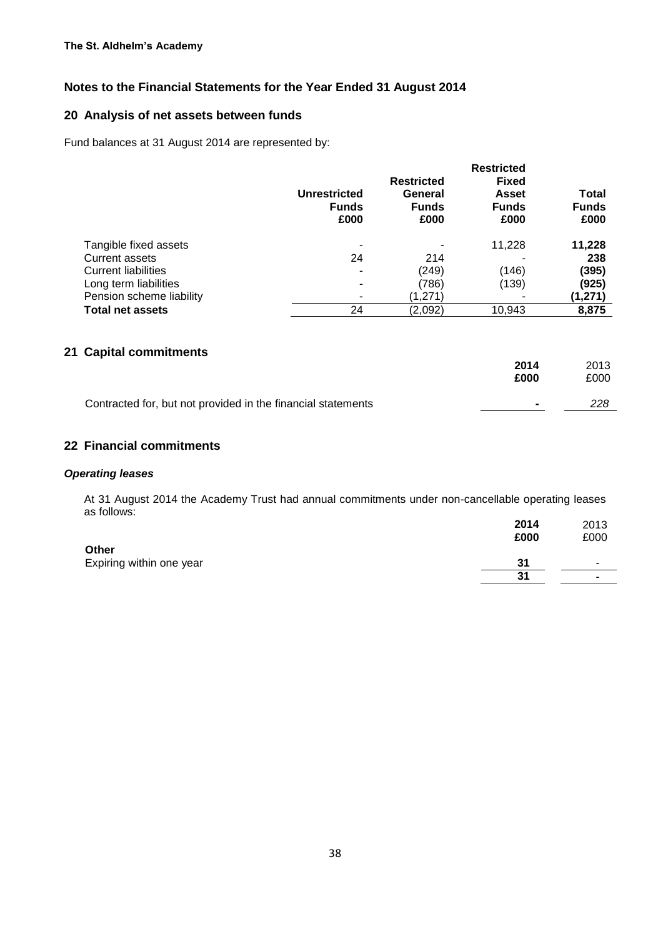# **20 Analysis of net assets between funds**

Fund balances at 31 August 2014 are represented by:

|                            | <b>Unrestricted</b><br><b>Funds</b><br>£000 | <b>Restricted</b><br>General<br><b>Funds</b><br>£000 | <b>Restricted</b><br><b>Fixed</b><br><b>Asset</b><br><b>Funds</b><br>£000 | <b>Total</b><br><b>Funds</b><br>£000 |
|----------------------------|---------------------------------------------|------------------------------------------------------|---------------------------------------------------------------------------|--------------------------------------|
| Tangible fixed assets      |                                             |                                                      | 11,228                                                                    | 11,228                               |
| <b>Current assets</b>      | 24                                          | 214                                                  |                                                                           | 238                                  |
| <b>Current liabilities</b> |                                             | (249)                                                | (146)                                                                     | (395)                                |
| Long term liabilities      |                                             | (786)                                                | (139)                                                                     | (925)                                |
| Pension scheme liability   |                                             | (1,271)                                              |                                                                           | (1,271)                              |
| <b>Total net assets</b>    | 24                                          | (2,092)                                              | 10,943                                                                    | 8,875                                |

#### **21 Capital commitments**

|                                                              | 2014<br>£000 | 2013<br>£000 |
|--------------------------------------------------------------|--------------|--------------|
| Contracted for, but not provided in the financial statements | -            | 228          |

## **22 Financial commitments**

#### *Operating leases*

At 31 August 2014 the Academy Trust had annual commitments under non-cancellable operating leases as follows:

|                                   | 2014<br>£000 | 2013<br>£000             |
|-----------------------------------|--------------|--------------------------|
| Other<br>Expiring within one year | 31           |                          |
|                                   | 31           | $\overline{\phantom{a}}$ |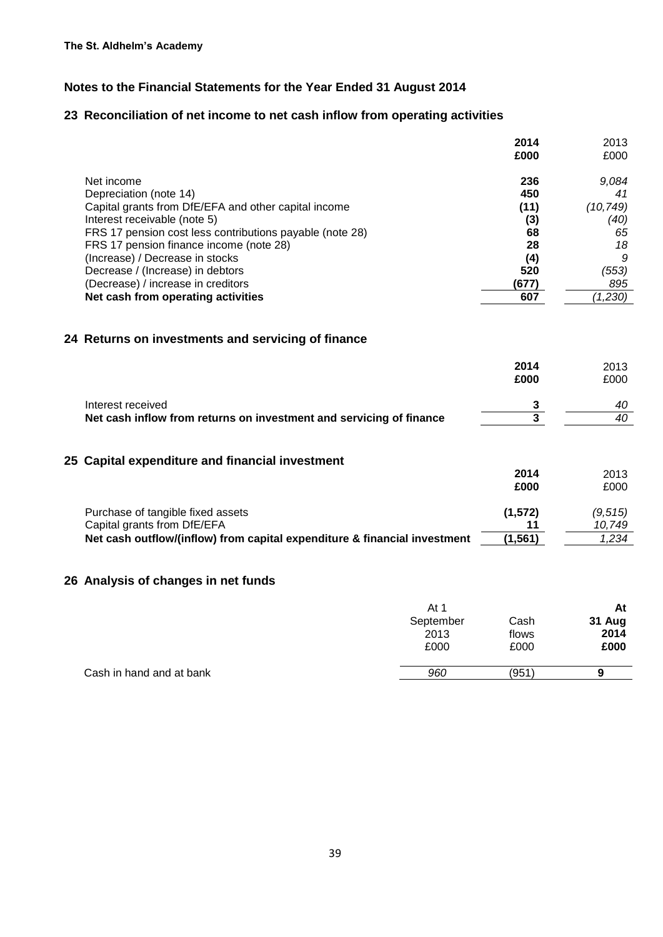## **23 Reconciliation of net income to net cash inflow from operating activities**

|                                                          | 2014  | 2013      |
|----------------------------------------------------------|-------|-----------|
|                                                          | £000  | £000      |
| Net income                                               | 236   | 9,084     |
| Depreciation (note 14)                                   | 450   | 41        |
| Capital grants from DfE/EFA and other capital income     | (11)  | (10, 749) |
| Interest receivable (note 5)                             | (3)   | (40)      |
| FRS 17 pension cost less contributions payable (note 28) | 68    | 65        |
| FRS 17 pension finance income (note 28)                  | 28    | 18        |
| (Increase) / Decrease in stocks                          | (4)   | 9         |
| Decrease / (Increase) in debtors                         | 520   | (553)     |
| (Decrease) / increase in creditors                       | (677) | 895       |
| Net cash from operating activities                       | 607   | (1,230)   |

# **24 Returns on investments and servicing of finance**

|                                                                     | 2014 | 2013 |
|---------------------------------------------------------------------|------|------|
|                                                                     | £000 | £000 |
| Interest received                                                   |      | 40   |
| Net cash inflow from returns on investment and servicing of finance |      | 40   |

## **25 Capital expenditure and financial investment**

|                                                                           | 2014     | 2013    |
|---------------------------------------------------------------------------|----------|---------|
|                                                                           | £000     | £000    |
|                                                                           |          |         |
| Purchase of tangible fixed assets                                         | (1,572)  | (9.515) |
| Capital grants from DfE/EFA                                               |          | 10.749  |
| Net cash outflow/(inflow) from capital expenditure & financial investment | (1, 561) | 1.234   |
|                                                                           |          |         |

## **26 Analysis of changes in net funds**

|                          | At 1      |       | At     |
|--------------------------|-----------|-------|--------|
|                          | September | Cash  | 31 Aug |
|                          | 2013      | flows | 2014   |
|                          | £000      | £000  | £000   |
|                          |           |       |        |
| Cash in hand and at bank | 960       | (951  | 9      |
|                          |           |       |        |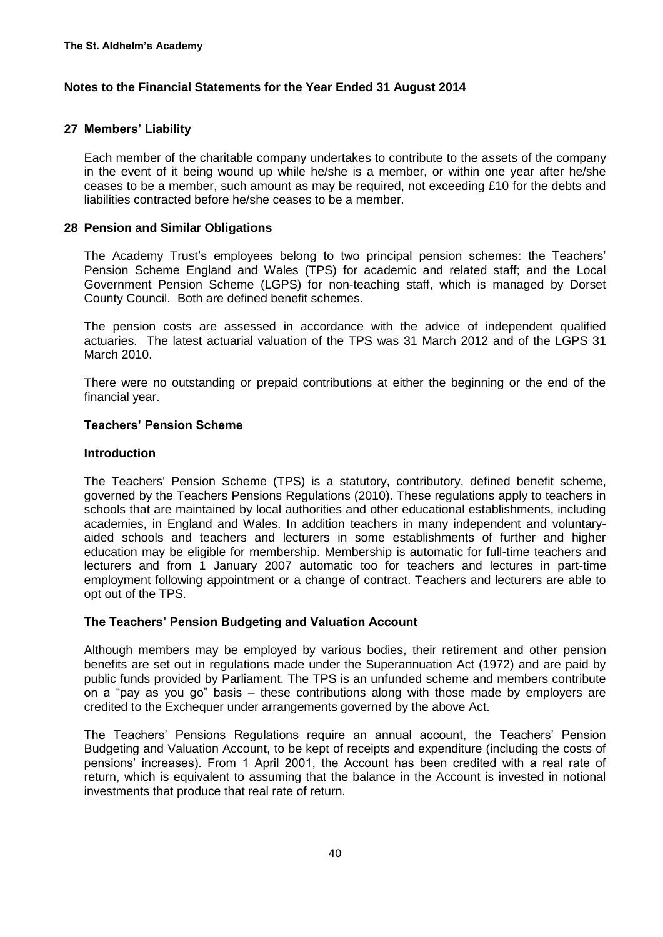#### **27 Members' Liability**

Each member of the charitable company undertakes to contribute to the assets of the company in the event of it being wound up while he/she is a member, or within one year after he/she ceases to be a member, such amount as may be required, not exceeding £10 for the debts and liabilities contracted before he/she ceases to be a member.

#### **28 Pension and Similar Obligations**

The Academy Trust's employees belong to two principal pension schemes: the Teachers' Pension Scheme England and Wales (TPS) for academic and related staff; and the Local Government Pension Scheme (LGPS) for non-teaching staff, which is managed by Dorset County Council. Both are defined benefit schemes.

The pension costs are assessed in accordance with the advice of independent qualified actuaries. The latest actuarial valuation of the TPS was 31 March 2012 and of the LGPS 31 March 2010.

There were no outstanding or prepaid contributions at either the beginning or the end of the financial year.

#### **Teachers' Pension Scheme**

#### **Introduction**

The Teachers' Pension Scheme (TPS) is a statutory, contributory, defined benefit scheme, governed by the Teachers Pensions Regulations (2010). These regulations apply to teachers in schools that are maintained by local authorities and other educational establishments, including academies, in England and Wales. In addition teachers in many independent and voluntaryaided schools and teachers and lecturers in some establishments of further and higher education may be eligible for membership. Membership is automatic for full-time teachers and lecturers and from 1 January 2007 automatic too for teachers and lectures in part-time employment following appointment or a change of contract. Teachers and lecturers are able to opt out of the TPS.

#### **The Teachers' Pension Budgeting and Valuation Account**

Although members may be employed by various bodies, their retirement and other pension benefits are set out in regulations made under the Superannuation Act (1972) and are paid by public funds provided by Parliament. The TPS is an unfunded scheme and members contribute on a "pay as you go" basis – these contributions along with those made by employers are credited to the Exchequer under arrangements governed by the above Act.

The Teachers' Pensions Regulations require an annual account, the Teachers' Pension Budgeting and Valuation Account, to be kept of receipts and expenditure (including the costs of pensions' increases). From 1 April 2001, the Account has been credited with a real rate of return, which is equivalent to assuming that the balance in the Account is invested in notional investments that produce that real rate of return.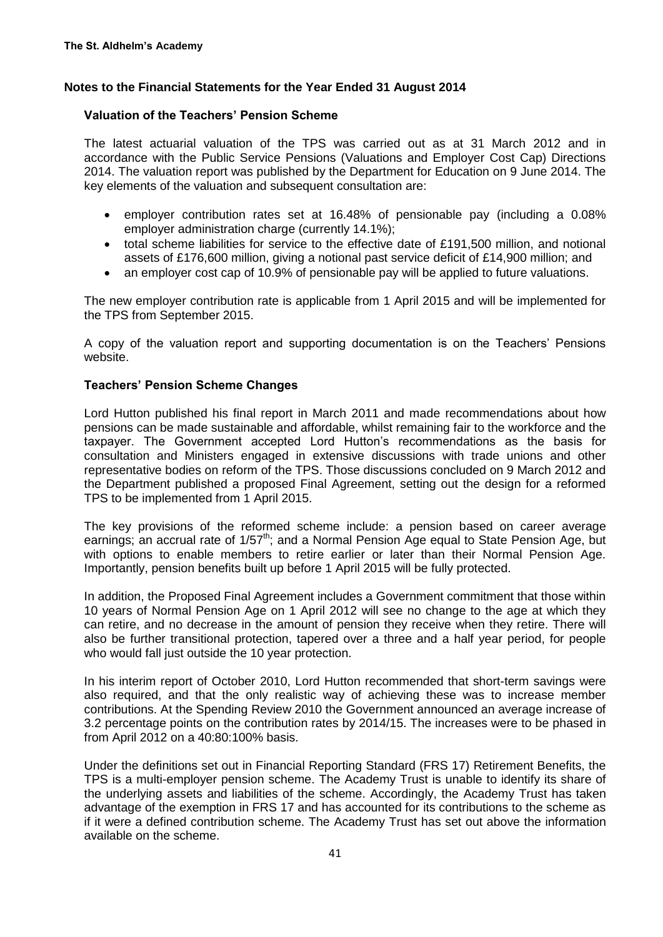### **Valuation of the Teachers' Pension Scheme**

The latest actuarial valuation of the TPS was carried out as at 31 March 2012 and in accordance with the Public Service Pensions (Valuations and Employer Cost Cap) Directions 2014. The valuation report was published by the Department for Education on 9 June 2014. The key elements of the valuation and subsequent consultation are:

- employer contribution rates set at 16.48% of pensionable pay (including a 0.08% employer administration charge (currently 14.1%);
- total scheme liabilities for service to the effective date of £191,500 million, and notional assets of £176,600 million, giving a notional past service deficit of £14,900 million; and
- an employer cost cap of 10.9% of pensionable pay will be applied to future valuations.

The new employer contribution rate is applicable from 1 April 2015 and will be implemented for the TPS from September 2015.

A copy of the valuation report and supporting documentation is on the Teachers' Pensions website.

#### **Teachers' Pension Scheme Changes**

Lord Hutton published his final report in March 2011 and made recommendations about how pensions can be made sustainable and affordable, whilst remaining fair to the workforce and the taxpayer. The Government accepted Lord Hutton's recommendations as the basis for consultation and Ministers engaged in extensive discussions with trade unions and other representative bodies on reform of the TPS. Those discussions concluded on 9 March 2012 and the Department published a proposed Final Agreement, setting out the design for a reformed TPS to be implemented from 1 April 2015.

The key provisions of the reformed scheme include: a pension based on career average earnings; an accrual rate of  $1/57<sup>th</sup>$ ; and a Normal Pension Age equal to State Pension Age, but with options to enable members to retire earlier or later than their Normal Pension Age. Importantly, pension benefits built up before 1 April 2015 will be fully protected.

In addition, the Proposed Final Agreement includes a Government commitment that those within 10 years of Normal Pension Age on 1 April 2012 will see no change to the age at which they can retire, and no decrease in the amount of pension they receive when they retire. There will also be further transitional protection, tapered over a three and a half year period, for people who would fall just outside the 10 year protection.

In his interim report of October 2010, Lord Hutton recommended that short-term savings were also required, and that the only realistic way of achieving these was to increase member contributions. At the Spending Review 2010 the Government announced an average increase of 3.2 percentage points on the contribution rates by 2014/15. The increases were to be phased in from April 2012 on a 40:80:100% basis.

Under the definitions set out in Financial Reporting Standard (FRS 17) Retirement Benefits, the TPS is a multi-employer pension scheme. The Academy Trust is unable to identify its share of the underlying assets and liabilities of the scheme. Accordingly, the Academy Trust has taken advantage of the exemption in FRS 17 and has accounted for its contributions to the scheme as if it were a defined contribution scheme. The Academy Trust has set out above the information available on the scheme.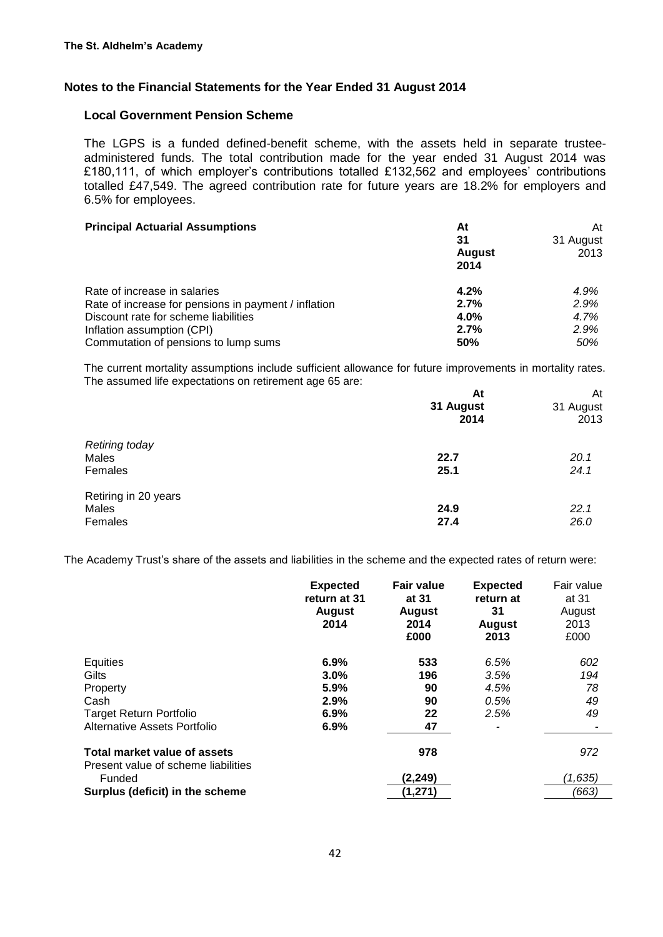#### **Local Government Pension Scheme**

The LGPS is a funded defined-benefit scheme, with the assets held in separate trusteeadministered funds. The total contribution made for the year ended 31 August 2014 was £180,111, of which employer's contributions totalled £132,562 and employees' contributions totalled £47,549. The agreed contribution rate for future years are 18.2% for employers and 6.5% for employees.

| <b>Principal Actuarial Assumptions</b>               | At            | At        |
|------------------------------------------------------|---------------|-----------|
|                                                      | 31            | 31 August |
|                                                      | <b>August</b> | 2013      |
|                                                      | 2014          |           |
| Rate of increase in salaries                         | 4.2%          | 4.9%      |
| Rate of increase for pensions in payment / inflation | 2.7%          | 2.9%      |
| Discount rate for scheme liabilities                 | $4.0\%$       | 4.7%      |
| Inflation assumption (CPI)                           | 2.7%          | 2.9%      |
| Commutation of pensions to lump sums                 | 50%           | 50%       |

The current mortality assumptions include sufficient allowance for future improvements in mortality rates. The assumed life expectations on retirement age 65 are:

| At<br>31 August<br>2014 | At<br>31 August<br>2013 |
|-------------------------|-------------------------|
|                         |                         |
| 22.7                    | 20.1                    |
| 25.1                    | 24.1                    |
|                         |                         |
|                         | 22.1                    |
| 27.4                    | 26.0                    |
|                         | 24.9                    |

The Academy Trust's share of the assets and liabilities in the scheme and the expected rates of return were:

|                                                                     | <b>Expected</b><br>return at 31<br><b>August</b><br>2014 | <b>Fair value</b><br>at 31<br><b>August</b><br>2014<br>£000 | <b>Expected</b><br>return at<br>31<br><b>August</b><br>2013 | Fair value<br>at 31<br>August<br>2013<br>£000 |
|---------------------------------------------------------------------|----------------------------------------------------------|-------------------------------------------------------------|-------------------------------------------------------------|-----------------------------------------------|
| Equities                                                            | 6.9%                                                     | 533                                                         | 6.5%                                                        | 602                                           |
| Gilts                                                               | 3.0%                                                     | 196                                                         | 3.5%                                                        | 194                                           |
| Property                                                            | 5.9%                                                     | 90                                                          | 4.5%                                                        | 78                                            |
| Cash                                                                | 2.9%                                                     | 90                                                          | 0.5%                                                        | 49                                            |
| <b>Target Return Portfolio</b>                                      | 6.9%                                                     | 22                                                          | 2.5%                                                        | 49                                            |
| Alternative Assets Portfolio                                        | 6.9%                                                     | 47                                                          |                                                             |                                               |
| Total market value of assets<br>Present value of scheme liabilities |                                                          | 978                                                         |                                                             | 972                                           |
| Funded                                                              |                                                          | (2, 249)                                                    |                                                             | (1,635)                                       |
| Surplus (deficit) in the scheme                                     |                                                          | (1, 271)                                                    |                                                             | (663)                                         |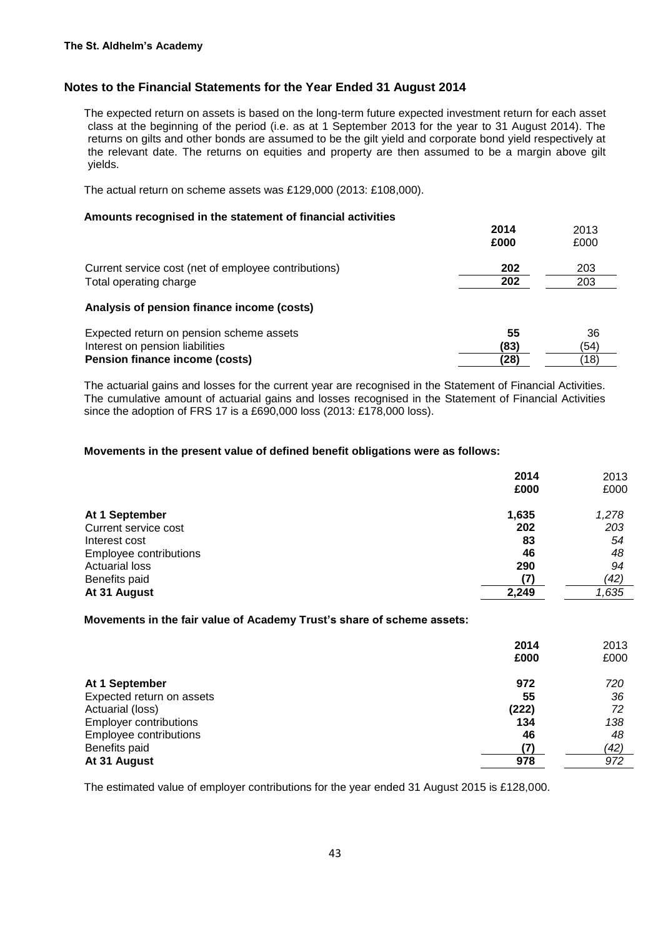The expected return on assets is based on the long-term future expected investment return for each asset class at the beginning of the period (i.e. as at 1 September 2013 for the year to 31 August 2014). The returns on gilts and other bonds are assumed to be the gilt yield and corporate bond yield respectively at the relevant date. The returns on equities and property are then assumed to be a margin above gilt yields.

The actual return on scheme assets was £129,000 (2013: £108,000).

#### **Amounts recognised in the statement of financial activities**

|                                                      | 2014 | 2013 |
|------------------------------------------------------|------|------|
|                                                      | £000 | £000 |
| Current service cost (net of employee contributions) | 202  | 203  |
| Total operating charge                               | 202  | 203  |
| Analysis of pension finance income (costs)           |      |      |
| Expected return on pension scheme assets             | 55   | 36   |
| Interest on pension liabilities                      | (83) | (54) |
| <b>Pension finance income (costs)</b>                | (28) | (18) |

The actuarial gains and losses for the current year are recognised in the Statement of Financial Activities. The cumulative amount of actuarial gains and losses recognised in the Statement of Financial Activities since the adoption of FRS 17 is a £690,000 loss (2013: £178,000 loss).

#### **Movements in the present value of defined benefit obligations were as follows:**

|                        | 2014  | 2013  |
|------------------------|-------|-------|
|                        | £000  | £000  |
| At 1 September         | 1,635 | 1,278 |
| Current service cost   | 202   | 203   |
| Interest cost          | 83    | 54    |
| Employee contributions | 46    | 48    |
| <b>Actuarial loss</b>  | 290   | 94    |
| Benefits paid          | (7)   | (42)  |
| At 31 August           | 2,249 | 1,635 |

#### **Movements in the fair value of Academy Trust's share of scheme assets:**

|                               | 2014  | 2013 |
|-------------------------------|-------|------|
|                               | £000  | £000 |
| At 1 September                | 972   | 720  |
| Expected return on assets     | 55    | 36   |
| Actuarial (loss)              | (222) | 72   |
| <b>Employer contributions</b> | 134   | 138  |
| Employee contributions        | 46    | 48   |
| Benefits paid                 | (7    | (42) |
| At 31 August                  | 978   | 972  |

The estimated value of employer contributions for the year ended 31 August 2015 is £128,000.